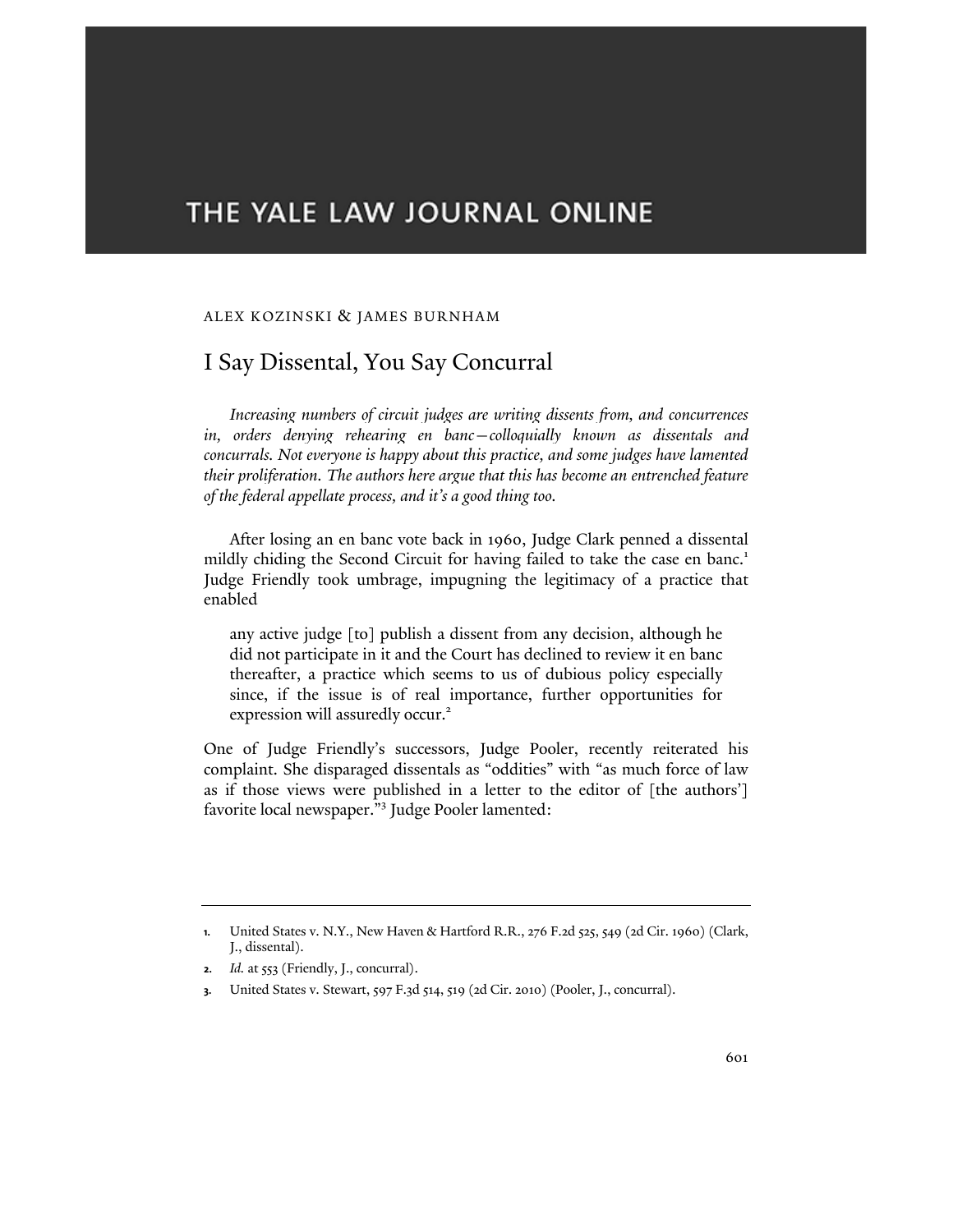# THE YALE LAW JOURNAL ONLINE

#### ALEX KOZINSKI & JAMES BURNHAM

## I Say Dissental, You Say Concurral

*Increasing numbers of circuit judges are writing dissents from, and concurrences in, orders denying rehearing en banc*—*colloquially known as dissentals and concurrals. Not everyone is happy about this practice, and some judges have lamented their proliferation. The authors here argue that this has become an entrenched feature of the federal appellate process, and it's a good thing too.*

After losing an en banc vote back in 1960, Judge Clark penned a dissental mildly chiding the Second Circuit for having failed to take the case en banc.<sup>1</sup> Judge Friendly took umbrage, impugning the legitimacy of a practice that enabled

any active judge [to] publish a dissent from any decision, although he did not participate in it and the Court has declined to review it en banc thereafter, a practice which seems to us of dubious policy especially since, if the issue is of real importance, further opportunities for expression will assuredly occur.<sup>2</sup>

One of Judge Friendly's successors, Judge Pooler, recently reiterated his complaint. She disparaged dissentals as "oddities" with "as much force of law as if those views were published in a letter to the editor of [the authors'] favorite local newspaper."<sup>3</sup> Judge Pooler lamented:

**<sup>1.</sup>** United States v. N.Y., New Haven & Hartford R.R., 276 F.2d 525, 549 (2d Cir. 1960) (Clark, J., dissental).

**<sup>2.</sup>** *Id.* at 553 (Friendly, J., concurral).

**<sup>3.</sup>** United States v. Stewart, 597 F.3d 514, 519 (2d Cir. 2010) (Pooler, J., concurral).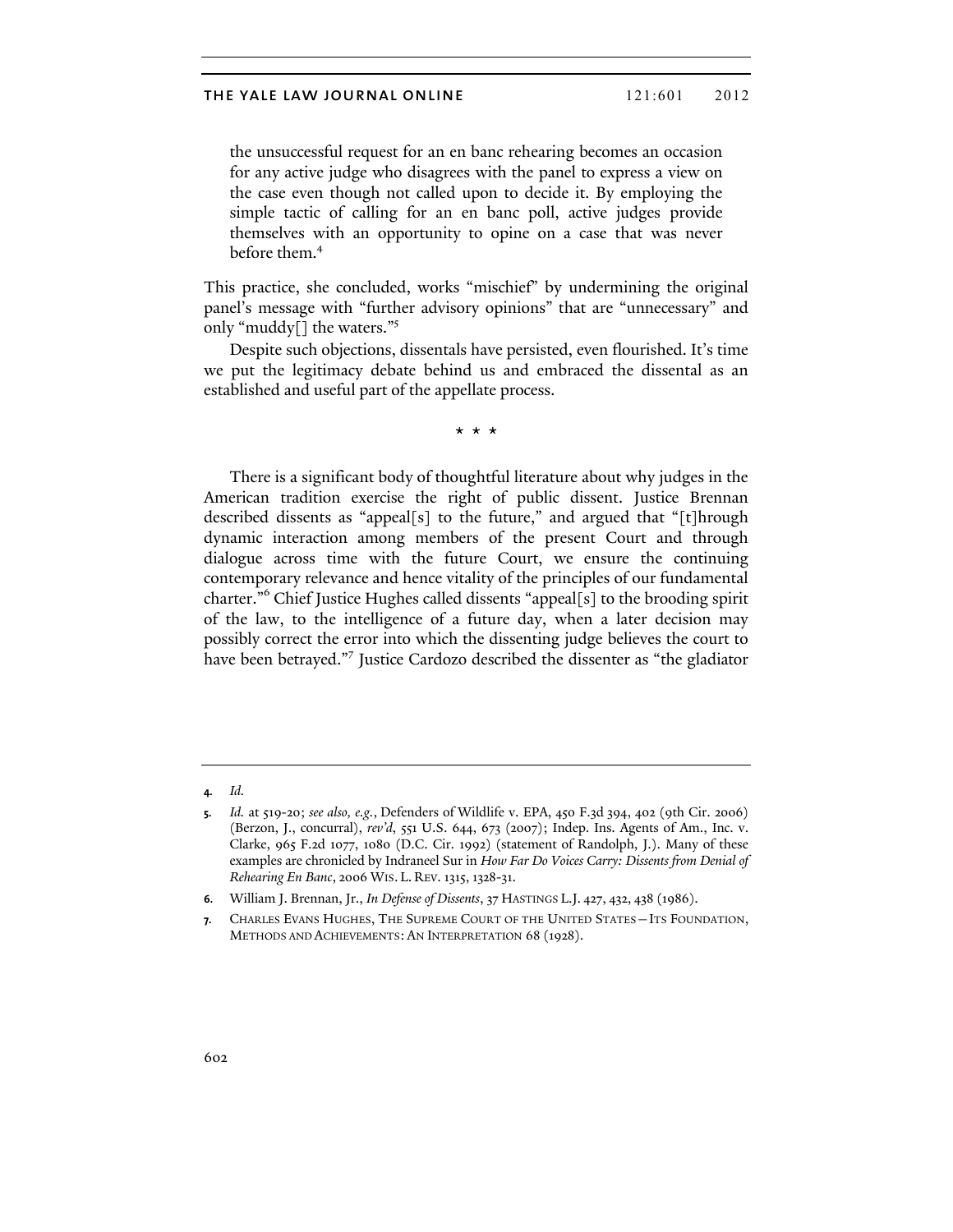#### the yale law journal online 121:601 2012

the unsuccessful request for an en banc rehearing becomes an occasion for any active judge who disagrees with the panel to express a view on the case even though not called upon to decide it. By employing the simple tactic of calling for an en banc poll, active judges provide themselves with an opportunity to opine on a case that was never before them.<sup>4</sup>

This practice, she concluded, works "mischief" by undermining the original panel's message with "further advisory opinions" that are "unnecessary" and only "muddy[] the waters." 5

Despite such objections, dissentals have persisted, even flourished. It's time we put the legitimacy debate behind us and embraced the dissental as an established and useful part of the appellate process.

\* \* \*

There is a significant body of thoughtful literature about why judges in the American tradition exercise the right of public dissent. Justice Brennan described dissents as "appeal[s] to the future," and argued that "[t]hrough dynamic interaction among members of the present Court and through dialogue across time with the future Court, we ensure the continuing contemporary relevance and hence vitality of the principles of our fundamental charter." 6 Chief Justice Hughes called dissents "appeal[s] to the brooding spirit of the law, to the intelligence of a future day, when a later decision may possibly correct the error into which the dissenting judge believes the court to have been betrayed."<sup>7</sup> Justice Cardozo described the dissenter as "the gladiator

**<sup>4.</sup>** *Id.*

**<sup>5.</sup>** *Id.* at 519-20; *see also, e.g.*, Defenders of Wildlife v. EPA, 450 F.3d 394, 402 (9th Cir. 2006) (Berzon, J., concurral), *rev'd*, 551 U.S. 644, 673 (2007); Indep. Ins. Agents of Am., Inc. v. Clarke, 965 F.2d 1077, 1080 (D.C. Cir. 1992) (statement of Randolph, J.). Many of these examples are chronicled by Indraneel Sur in *How Far Do Voices Carry: Dissents from Denial of Rehearing En Banc*, 2006 WIS. L. REV. 1315, 1328-31.

**<sup>6.</sup>** William J. Brennan, Jr., *In Defense of Dissents*, 37 HASTINGS L.J. 427, 432, 438 (1986).

**<sup>7.</sup>** CHARLES EVANS HUGHES, THE SUPREME COURT OF THE UNITED STATES—ITS FOUNDATION, METHODS AND ACHIEVEMENTS: AN INTERPRETATION 68 (1928).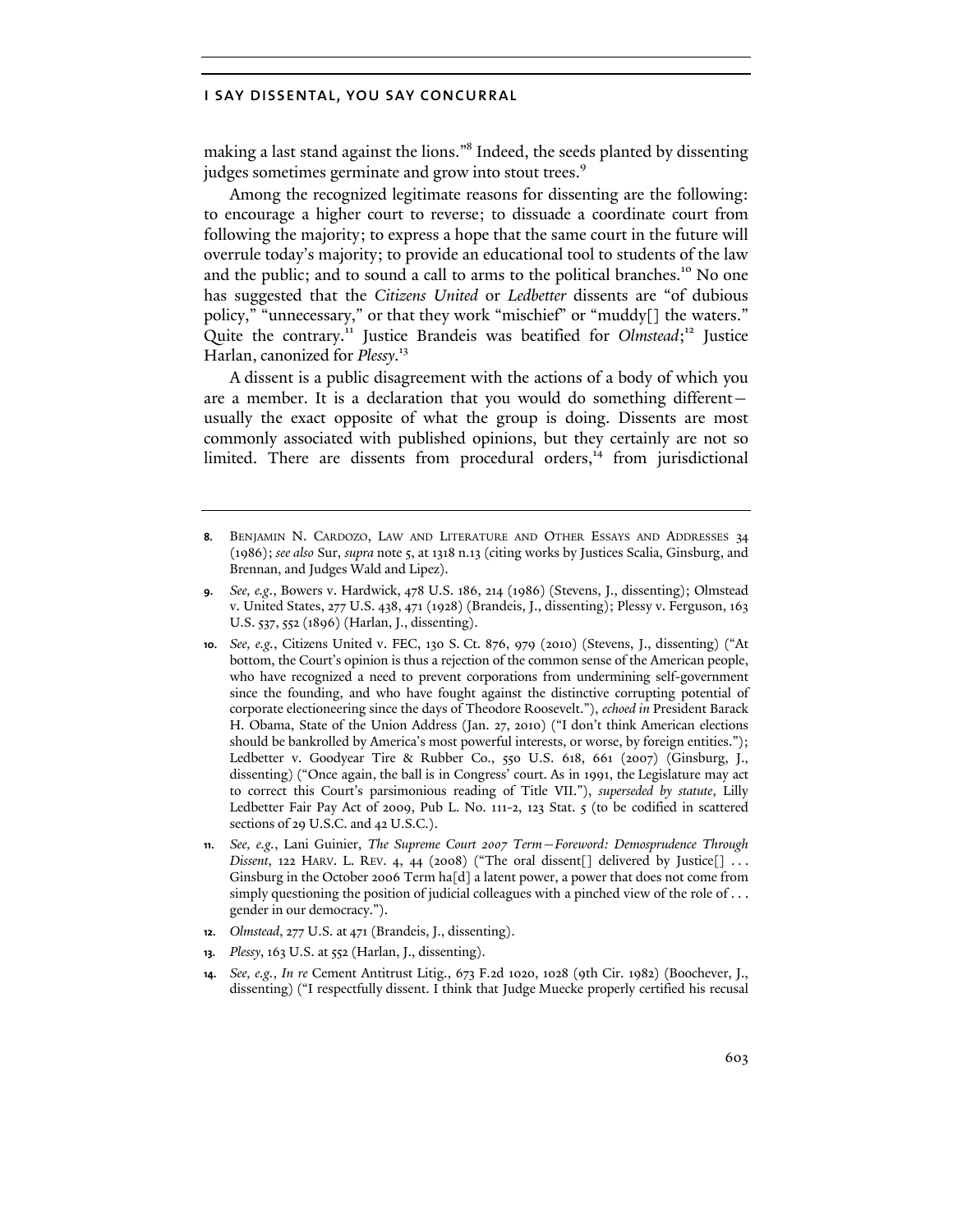making a last stand against the lions." 8 Indeed, the seeds planted by dissenting judges sometimes germinate and grow into stout trees.<sup>9</sup>

Among the recognized legitimate reasons for dissenting are the following: to encourage a higher court to reverse; to dissuade a coordinate court from following the majority; to express a hope that the same court in the future will overrule today's majority; to provide an educational tool to students of the law and the public; and to sound a call to arms to the political branches.<sup>10</sup> No one has suggested that the *Citizens United* or *Ledbetter* dissents are "of dubious policy," "unnecessary," or that they work "mischief" or "muddy[] the waters." Quite the contrary.<sup>11</sup> Justice Brandeis was beatified for *Olmstead*;<sup>12</sup> Justice Harlan, canonized for *Plessy*. 13

A dissent is a public disagreement with the actions of a body of which you are a member. It is a declaration that you would do something different usually the exact opposite of what the group is doing. Dissents are most commonly associated with published opinions, but they certainly are not so limited. There are dissents from procedural orders, $14$  from jurisdictional

- **10.** *See, e.g.*, Citizens United v. FEC, 130 S. Ct. 876, 979 (2010) (Stevens, J., dissenting) ("At bottom, the Court's opinion is thus a rejection of the common sense of the American people, who have recognized a need to prevent corporations from undermining self-government since the founding, and who have fought against the distinctive corrupting potential of corporate electioneering since the days of Theodore Roosevelt."), *echoed in* President Barack H. Obama, State of the Union Address (Jan. 27, 2010) ("I don't think American elections should be bankrolled by America's most powerful interests, or worse, by foreign entities."); Ledbetter v. Goodyear Tire & Rubber Co., 550 U.S. 618, 661 (2007) (Ginsburg, J., dissenting) ("Once again, the ball is in Congress' court. As in 1991, the Legislature may act to correct this Court's parsimonious reading of Title VII."), *superseded by statute*, Lilly Ledbetter Fair Pay Act of 2009, Pub L. No. 111-2, 123 Stat. 5 (to be codified in scattered sections of 29 U.S.C. and 42 U.S.C.).
- **11.** *See, e.g.*, Lani Guinier, *The Supreme Court 2007 Term—Foreword: Demosprudence Through Dissent*, 122 HARV. L. REV. 4, 44 (2008) ("The oral dissent[] delivered by Justice[] . . . Ginsburg in the October 2006 Term ha[d] a latent power, a power that does not come from simply questioning the position of judicial colleagues with a pinched view of the role of  $\dots$ gender in our democracy.").
- **12.** *Olmstead*, 277 U.S. at 471 (Brandeis, J., dissenting).
- **13.** *Plessy*, 163 U.S. at 552 (Harlan, J., dissenting).
- **14.** *See, e.g.*, *In re* Cement Antitrust Litig., 673 F.2d 1020, 1028 (9th Cir. 1982) (Boochever, J., dissenting) ("I respectfully dissent. I think that Judge Muecke properly certified his recusal

**<sup>8.</sup>** BENJAMIN N. CARDOZO, LAW AND LITERATURE AND OTHER ESSAYS AND ADDRESSES 34 (1986); *see also* Sur, *supra* note 5, at 1318 n.13 (citing works by Justices Scalia, Ginsburg, and Brennan, and Judges Wald and Lipez).

**<sup>9.</sup>** *See, e.g*., Bowers v. Hardwick, 478 U.S. 186, 214 (1986) (Stevens, J., dissenting); Olmstead v. United States, 277 U.S. 438, 471 (1928) (Brandeis, J., dissenting); Plessy v. Ferguson, 163 U.S. 537, 552 (1896) (Harlan, J., dissenting).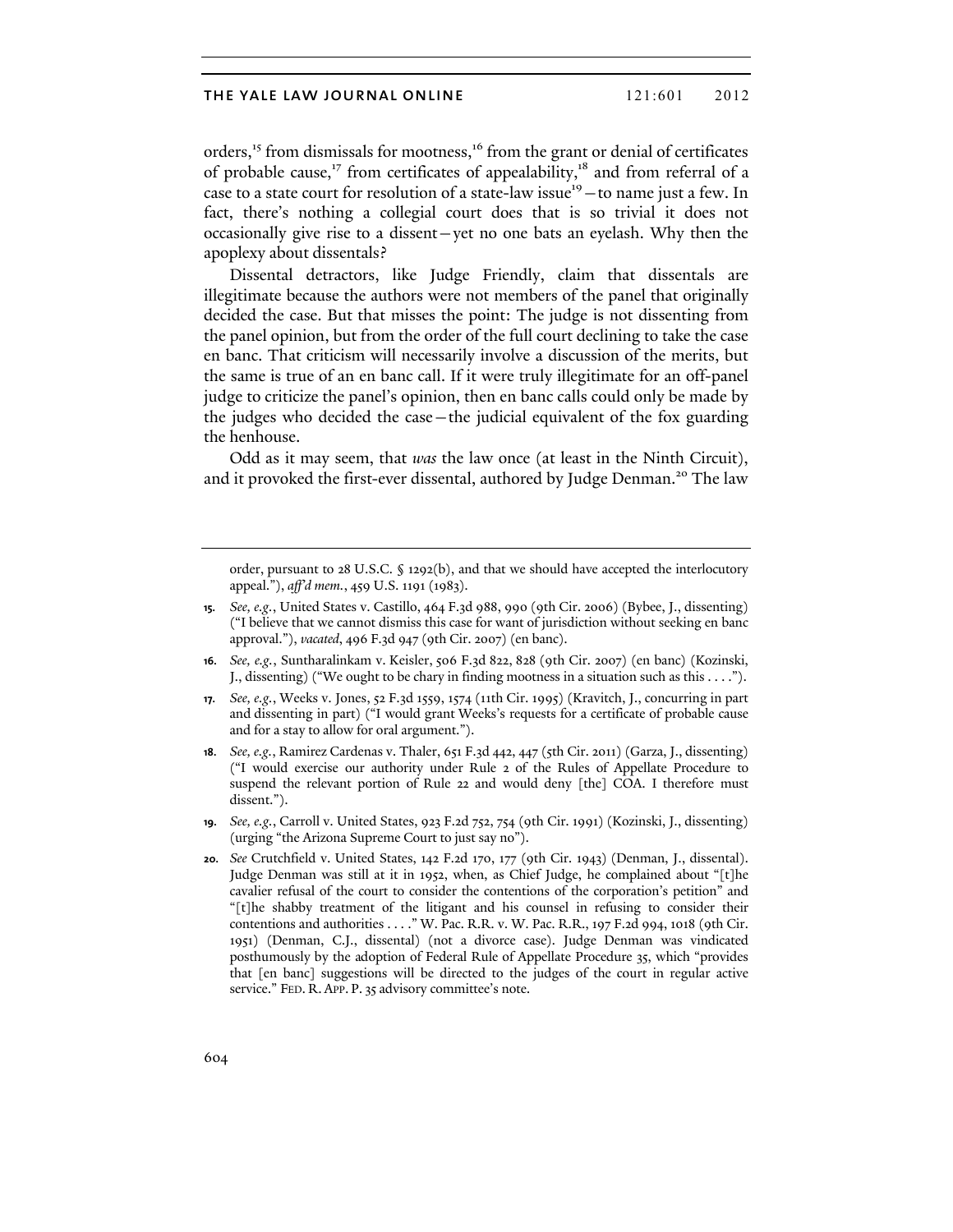#### the yale law journal online 121:601 2012

orders,<sup>15</sup> from dismissals for mootness,<sup>16</sup> from the grant or denial of certificates of probable cause,<sup>17</sup> from certificates of appealability,<sup>18</sup> and from referral of a case to a state court for resolution of a state-law issue<sup>19</sup> – to name just a few. In fact, there's nothing a collegial court does that is so trivial it does not occasionally give rise to a dissent—yet no one bats an eyelash. Why then the apoplexy about dissentals?

Dissental detractors, like Judge Friendly, claim that dissentals are illegitimate because the authors were not members of the panel that originally decided the case. But that misses the point: The judge is not dissenting from the panel opinion, but from the order of the full court declining to take the case en banc. That criticism will necessarily involve a discussion of the merits, but the same is true of an en banc call. If it were truly illegitimate for an off-panel judge to criticize the panel's opinion, then en banc calls could only be made by the judges who decided the case—the judicial equivalent of the fox guarding the henhouse.

Odd as it may seem, that *was* the law once (at least in the Ninth Circuit), and it provoked the first-ever dissental, authored by Judge Denman.<sup>20</sup> The law

order, pursuant to 28 U.S.C. § 1292(b), and that we should have accepted the interlocutory appeal."), *aff'd mem.*, 459 U.S. 1191 (1983).

- **15.** *See, e.g.*, United States v. Castillo, 464 F.3d 988, 990 (9th Cir. 2006) (Bybee, J., dissenting) ("I believe that we cannot dismiss this case for want of jurisdiction without seeking en banc approval."), *vacated*, 496 F.3d 947 (9th Cir. 2007) (en banc).
- **16.** *See, e.g.*, Suntharalinkam v. Keisler, 506 F.3d 822, 828 (9th Cir. 2007) (en banc) (Kozinski, J., dissenting) ("We ought to be chary in finding mootness in a situation such as this . . . .").
- **17.** *See, e.g.*, Weeks v. Jones, 52 F.3d 1559, 1574 (11th Cir. 1995) (Kravitch, J., concurring in part and dissenting in part) ("I would grant Weeks's requests for a certificate of probable cause and for a stay to allow for oral argument.").
- **18.** *See, e.g.*, Ramirez Cardenas v. Thaler, 651 F.3d 442, 447 (5th Cir. 2011) (Garza, J., dissenting) ("I would exercise our authority under Rule 2 of the Rules of Appellate Procedure to suspend the relevant portion of Rule 22 and would deny [the] COA. I therefore must dissent.").
- **19.** *See, e.g.*, Carroll v. United States, 923 F.2d 752, 754 (9th Cir. 1991) (Kozinski, J., dissenting) (urging "the Arizona Supreme Court to just say no").
- **20.** *See* Crutchfield v. United States, 142 F.2d 170, 177 (9th Cir. 1943) (Denman, J., dissental). Judge Denman was still at it in 1952, when, as Chief Judge, he complained about "[t]he cavalier refusal of the court to consider the contentions of the corporation's petition" and "[t]he shabby treatment of the litigant and his counsel in refusing to consider their contentions and authorities . . . ." W. Pac. R.R. v. W. Pac. R.R., 197 F.2d 994, 1018 (9th Cir. 1951) (Denman, C.J., dissental) (not a divorce case). Judge Denman was vindicated posthumously by the adoption of Federal Rule of Appellate Procedure 35, which "provides that [en banc] suggestions will be directed to the judges of the court in regular active service." FED. R. APP. P. 35 advisory committee's note.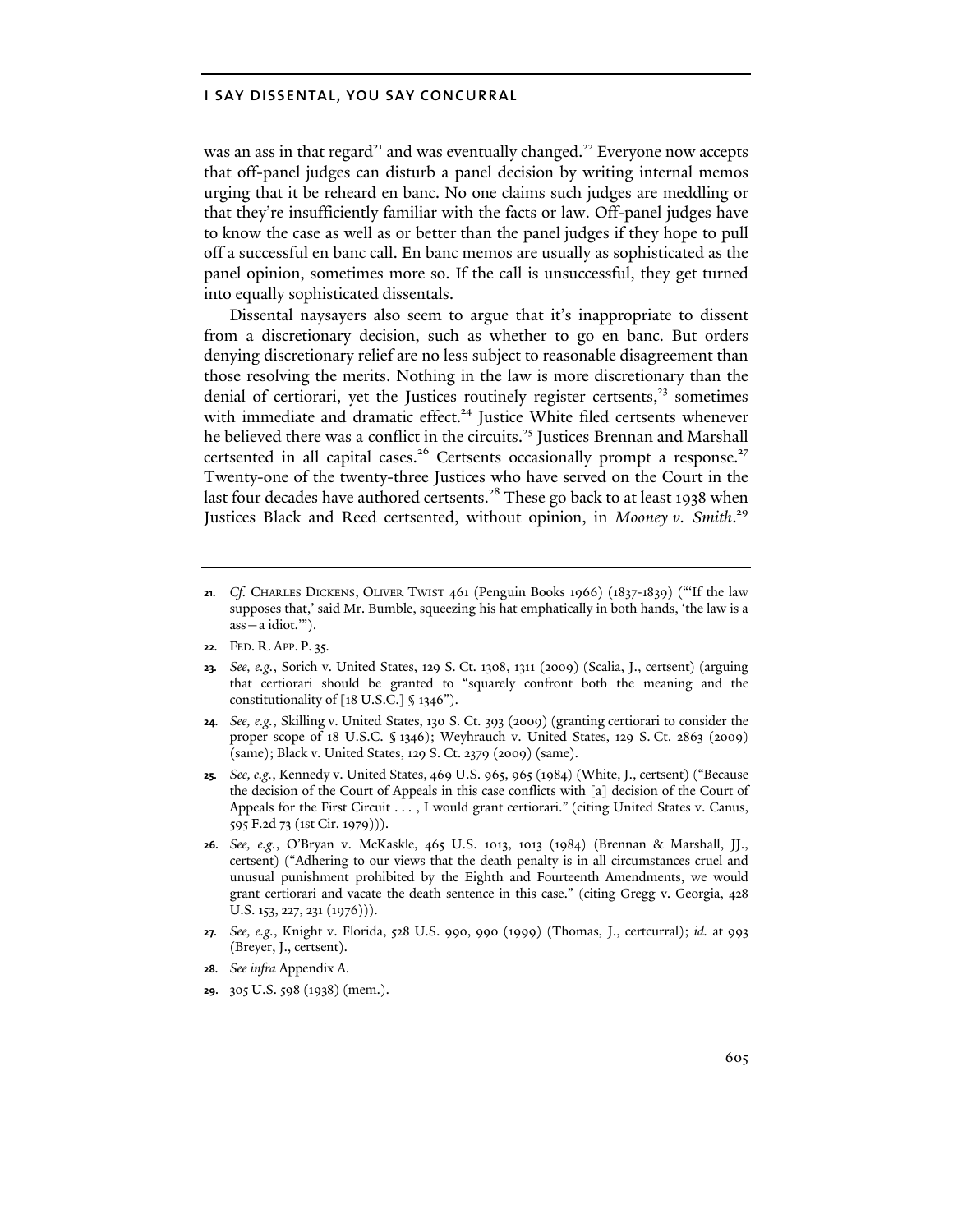was an ass in that regard<sup>21</sup> and was eventually changed.<sup>22</sup> Everyone now accepts that off-panel judges can disturb a panel decision by writing internal memos urging that it be reheard en banc. No one claims such judges are meddling or that they're insufficiently familiar with the facts or law. Off-panel judges have to know the case as well as or better than the panel judges if they hope to pull off a successful en banc call. En banc memos are usually as sophisticated as the panel opinion, sometimes more so. If the call is unsuccessful, they get turned into equally sophisticated dissentals.

Dissental naysayers also seem to argue that it's inappropriate to dissent from a discretionary decision, such as whether to go en banc. But orders denying discretionary relief are no less subject to reasonable disagreement than those resolving the merits. Nothing in the law is more discretionary than the denial of certiorari, yet the Justices routinely register certsents,<sup>23</sup> sometimes with immediate and dramatic effect.<sup>24</sup> Justice White filed certsents whenever he believed there was a conflict in the circuits.<sup>25</sup> Justices Brennan and Marshall certsented in all capital cases.<sup>26</sup> Certsents occasionally prompt a response.<sup>27</sup> Twenty-one of the twenty-three Justices who have served on the Court in the last four decades have authored certsents.<sup>28</sup> These go back to at least 1938 when Justices Black and Reed certsented, without opinion, in *Mooney v. Smith*. 29

- **23.** *See, e.g.*, Sorich v. United States, 129 S. Ct. 1308, 1311 (2009) (Scalia, J., certsent) (arguing that certiorari should be granted to "squarely confront both the meaning and the constitutionality of  $[18 \text{ U.S.C.}]$  §  $1346$ ").
- **24.** *See, e.g.*, Skilling v. United States, 130 S. Ct. 393 (2009) (granting certiorari to consider the proper scope of 18 U.S.C. § 1346); Weyhrauch v. United States, 129 S. Ct. 2863 (2009) (same); Black v. United States, 129 S. Ct. 2379 (2009) (same).
- **25.** *See, e.g.*, Kennedy v. United States, 469 U.S. 965, 965 (1984) (White, J., certsent) ("Because the decision of the Court of Appeals in this case conflicts with [a] decision of the Court of Appeals for the First Circuit . . . , I would grant certiorari." (citing United States v. Canus, 595 F.2d 73 (1st Cir. 1979))).
- **26.** *See, e.g.*, O'Bryan v. McKaskle, 465 U.S. 1013, 1013 (1984) (Brennan & Marshall, JJ., certsent) ("Adhering to our views that the death penalty is in all circumstances cruel and unusual punishment prohibited by the Eighth and Fourteenth Amendments, we would grant certiorari and vacate the death sentence in this case." (citing Gregg v. Georgia, 428 U.S. 153, 227, 231 (1976))).
- **27.** *See, e.g.*, Knight v. Florida, 528 U.S. 990, 990 (1999) (Thomas, J., certcurral); *id.* at 993 (Breyer, J., certsent).
- **28.** *See infra* Appendix A.
- **29.** 305 U.S. 598 (1938) (mem.).

**<sup>21.</sup>** *Cf.* CHARLES DICKENS, OLIVER TWIST 461 (Penguin Books 1966) (1837-1839) ("'If the law supposes that,' said Mr. Bumble, squeezing his hat emphatically in both hands, 'the law is a ass—a idiot.'").

**<sup>22.</sup>** FED. R. APP. P. 35.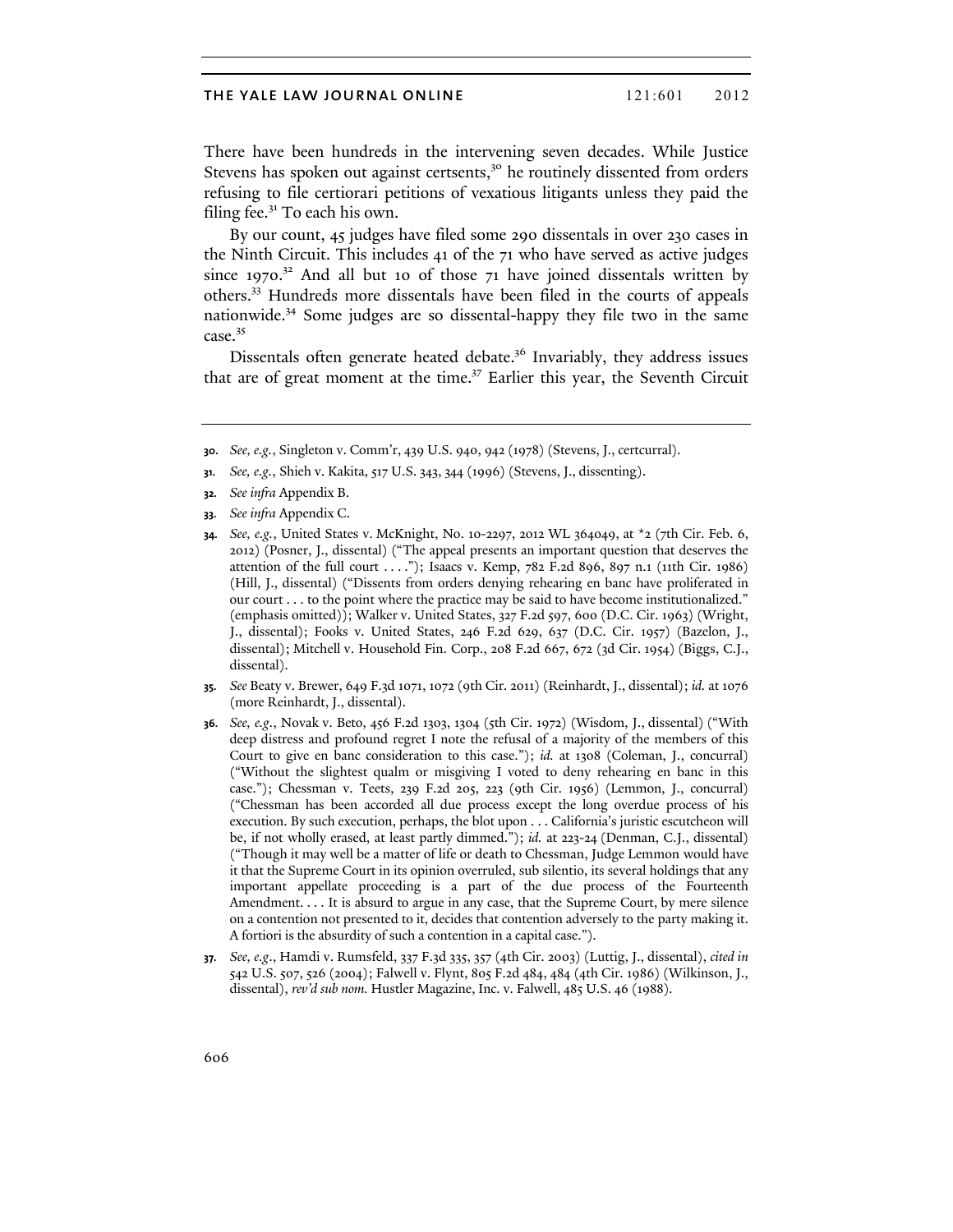There have been hundreds in the intervening seven decades. While Justice Stevens has spoken out against certsents, $3<sup>0</sup>$  he routinely dissented from orders refusing to file certiorari petitions of vexatious litigants unless they paid the filing fee. $31$  To each his own.

By our count, 45 judges have filed some 290 dissentals in over 230 cases in the Ninth Circuit. This includes 41 of the 71 who have served as active judges since 1970. $3^2$  And all but 10 of those 71 have joined dissentals written by others.33 Hundreds more dissentals have been filed in the courts of appeals nationwide.34 Some judges are so dissental-happy they file two in the same case. 35

Dissentals often generate heated debate.<sup>36</sup> Invariably, they address issues that are of great moment at the time.<sup>37</sup> Earlier this year, the Seventh Circuit

- **32.** *See infra* Appendix B.
- **33.** *See infra* Appendix C.
- **34.** *See, e.g.*, United States v. McKnight, No. 10-2297, 2012 WL 364049, at \*2 (7th Cir. Feb. 6, 2012) (Posner, J., dissental) ("The appeal presents an important question that deserves the attention of the full court . . . ."); Isaacs v. Kemp, 782 F.2d 896, 897 n.1 (11th Cir. 1986) (Hill, J., dissental) ("Dissents from orders denying rehearing en banc have proliferated in our court . . . to the point where the practice may be said to have become institutionalized." (emphasis omitted)); Walker v. United States, 327 F.2d 597, 600 (D.C. Cir. 1963) (Wright, J., dissental); Fooks v. United States, 246 F.2d 629, 637 (D.C. Cir. 1957) (Bazelon, J., dissental); Mitchell v. Household Fin. Corp., 208 F.2d 667, 672 (3d Cir. 1954) (Biggs, C.J., dissental).
- **35.** *See* Beaty v. Brewer, 649 F.3d 1071, 1072 (9th Cir. 2011) (Reinhardt, J., dissental); *id.* at 1076 (more Reinhardt, J., dissental).
- **36.** *See, e.g*., Novak v. Beto, 456 F.2d 1303, 1304 (5th Cir. 1972) (Wisdom, J., dissental) ("With deep distress and profound regret I note the refusal of a majority of the members of this Court to give en banc consideration to this case."); *id.* at 1308 (Coleman, J., concurral) ("Without the slightest qualm or misgiving I voted to deny rehearing en banc in this case."); Chessman v. Teets, 239 F.2d 205, 223 (9th Cir. 1956) (Lemmon, J., concurral) ("Chessman has been accorded all due process except the long overdue process of his execution. By such execution, perhaps, the blot upon . . . California's juristic escutcheon will be, if not wholly erased, at least partly dimmed."); *id.* at 223-24 (Denman, C.J., dissental) ("Though it may well be a matter of life or death to Chessman, Judge Lemmon would have it that the Supreme Court in its opinion overruled, sub silentio, its several holdings that any important appellate proceeding is a part of the due process of the Fourteenth Amendment. . . . It is absurd to argue in any case, that the Supreme Court, by mere silence on a contention not presented to it, decides that contention adversely to the party making it. A fortiori is the absurdity of such a contention in a capital case.").
- **37.** *See, e.g*., Hamdi v. Rumsfeld, 337 F.3d 335, 357 (4th Cir. 2003) (Luttig, J., dissental), *cited in* 542 U.S. 507, 526 (2004); Falwell v. Flynt, 805 F.2d 484, 484 (4th Cir. 1986) (Wilkinson, J., dissental), *rev'd sub nom.* Hustler Magazine, Inc. v. Falwell, 485 U.S. 46 (1988).

**<sup>30.</sup>** *See, e.g.*, Singleton v. Comm'r, 439 U.S. 940, 942 (1978) (Stevens, J., certcurral).

**<sup>31.</sup>** *See, e.g.*, Shieh v. Kakita, 517 U.S. 343, 344 (1996) (Stevens, J., dissenting).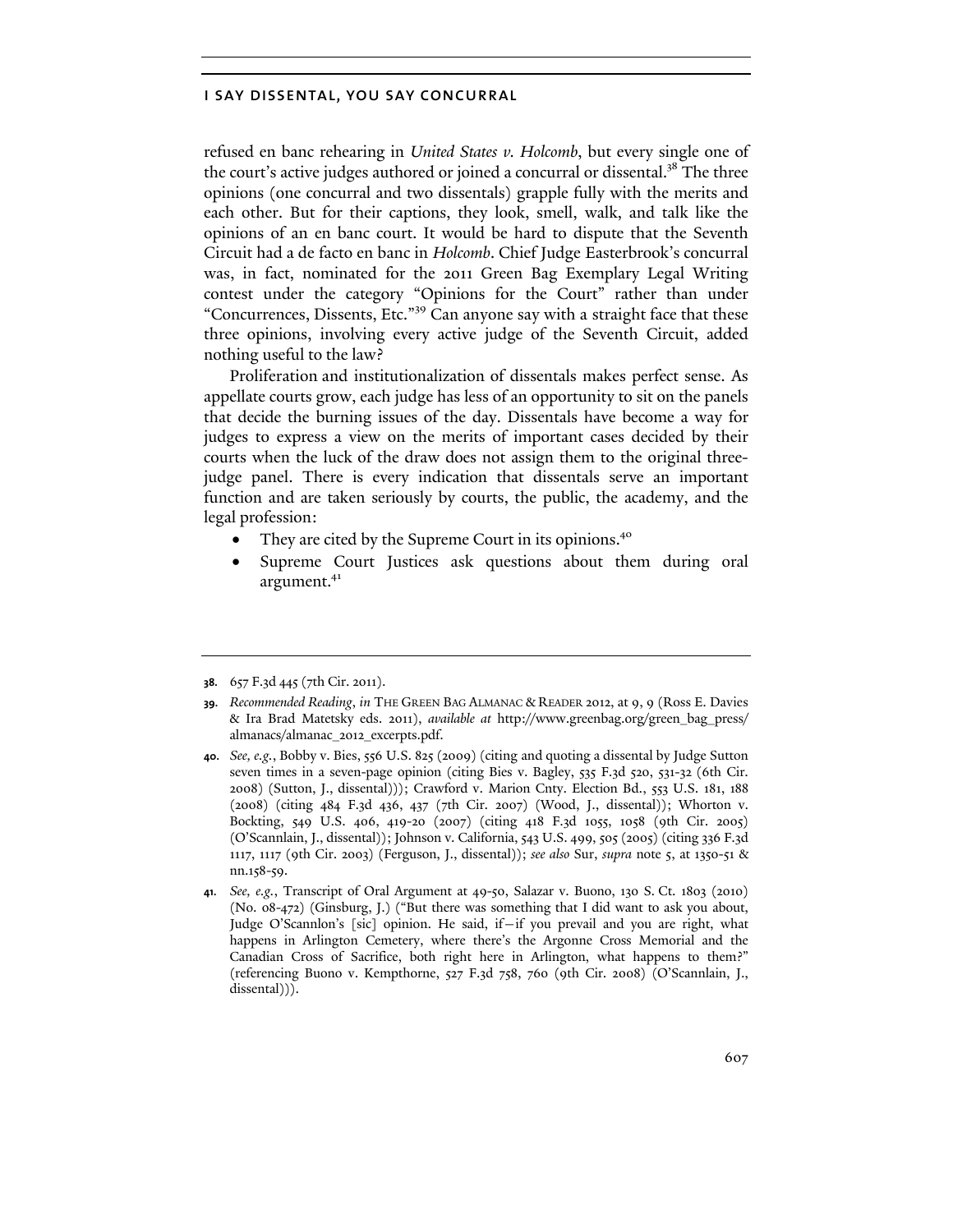refused en banc rehearing in *United States v. Holcomb*, but every single one of the court's active judges authored or joined a concurral or dissental.<sup>38</sup> The three opinions (one concurral and two dissentals) grapple fully with the merits and each other. But for their captions, they look, smell, walk, and talk like the opinions of an en banc court. It would be hard to dispute that the Seventh Circuit had a de facto en banc in *Holcomb*. Chief Judge Easterbrook's concurral was, in fact, nominated for the 2011 Green Bag Exemplary Legal Writing contest under the category "Opinions for the Court" rather than under "Concurrences, Dissents, Etc." <sup>39</sup> Can anyone say with a straight face that these three opinions, involving every active judge of the Seventh Circuit, added nothing useful to the law?

Proliferation and institutionalization of dissentals makes perfect sense. As appellate courts grow, each judge has less of an opportunity to sit on the panels that decide the burning issues of the day. Dissentals have become a way for judges to express a view on the merits of important cases decided by their courts when the luck of the draw does not assign them to the original threejudge panel. There is every indication that dissentals serve an important function and are taken seriously by courts, the public, the academy, and the legal profession:

- They are cited by the Supreme Court in its opinions.<sup>40</sup>
- Supreme Court Justices ask questions about them during oral argument.<sup>41</sup>

**<sup>38.</sup>** 657 F.3d 445 (7th Cir. 2011).

**<sup>39.</sup>** *Recommended Reading*, *in* THE GREEN BAG ALMANAC & READER 2012, at 9, 9 (Ross E. Davies & Ira Brad Matetsky eds. 2011), *available at* http://w[ww.gr](www.g)eenbag.org/green\_bag\_press/ almanacs/almanac\_2012\_excerpts.pdf.

**<sup>40.</sup>** *See, e.g.*, Bobby v. Bies, 556 U.S. 825 (2009) (citing and quoting a dissental by Judge Sutton seven times in a seven-page opinion (citing Bies v. Bagley, 535 F.3d 520, 531-32 (6th Cir. 2008) (Sutton, J., dissental))); Crawford v. Marion Cnty. Election Bd., 553 U.S. 181, 188 (2008) (citing 484 F.3d 436, 437 (7th Cir. 2007) (Wood, J., dissental)); Whorton v. Bockting, 549 U.S. 406, 419-20 (2007) (citing 418 F.3d 1055, 1058 (9th Cir. 2005) (O'Scannlain, J., dissental)); Johnson v. California, 543 U.S. 499, 505 (2005) (citing 336 F.3d 1117, 1117 (9th Cir. 2003) (Ferguson, J., dissental)); *see also* Sur, *supra* note 5, at 1350-51 & nn.158-59.

**<sup>41.</sup>** *See, e.g.*, Transcript of Oral Argument at 49-50, Salazar v. Buono, 130 S. Ct. 1803 (2010) (No. 08-472) (Ginsburg, J.) ("But there was something that I did want to ask you about, Judge O'Scannlon's [sic] opinion. He said, if—if you prevail and you are right, what happens in Arlington Cemetery, where there's the Argonne Cross Memorial and the Canadian Cross of Sacrifice, both right here in Arlington, what happens to them?" (referencing Buono v. Kempthorne, 527 F.3d 758, 760 (9th Cir. 2008) (O'Scannlain, J., dissental))).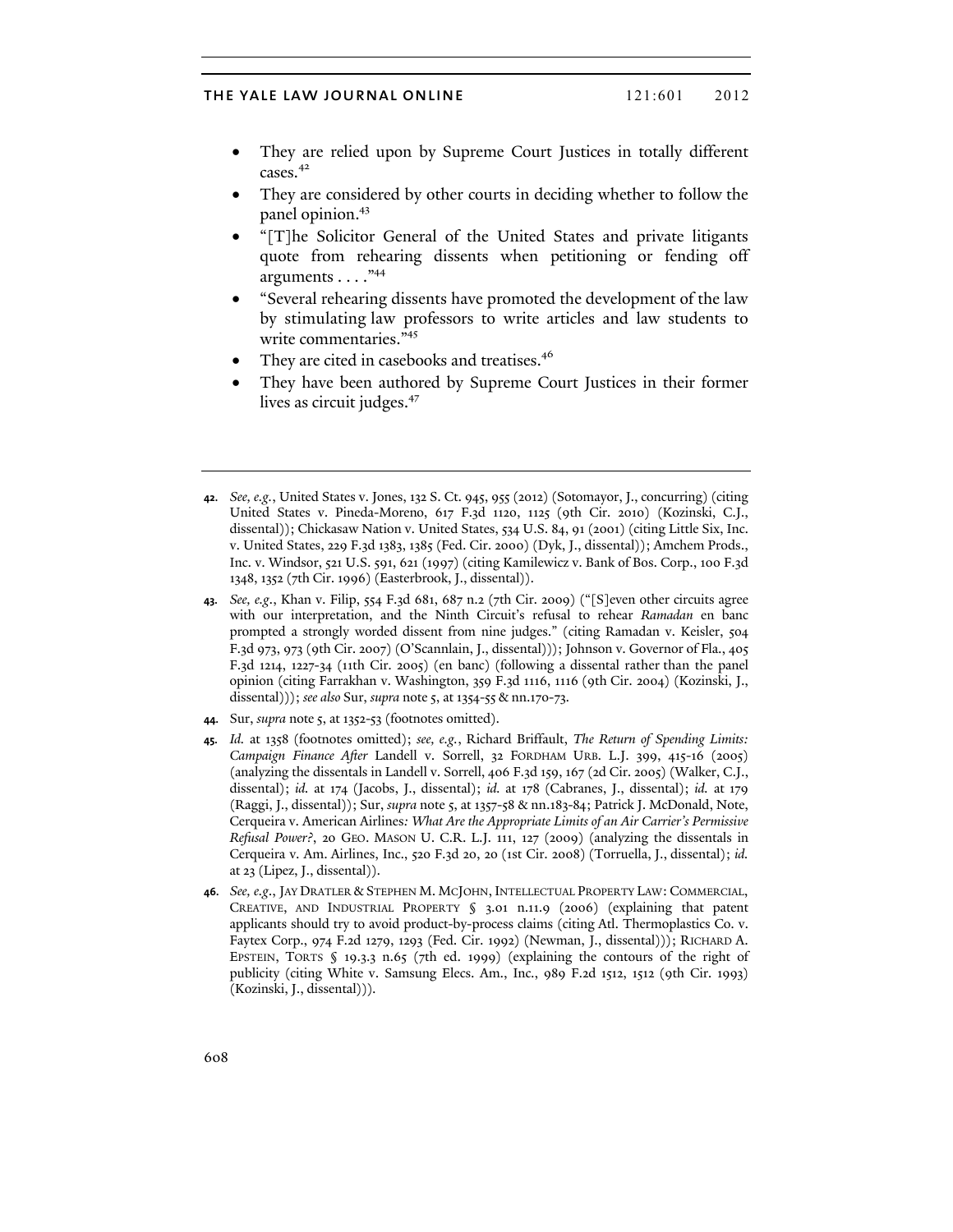#### the yale law journal online 121:601 2012

- They are relied upon by Supreme Court Justices in totally different cases. 42
- They are considered by other courts in deciding whether to follow the panel opinion.<sup>43</sup>
- "[T]he Solicitor General of the United States and private litigants quote from rehearing dissents when petitioning or fending off arguments . . . .<sup>"44</sup>
- "Several rehearing dissents have promoted the development of the law by stimulating law professors to write articles and law students to write commentaries." 45
- They are cited in casebooks and treatises.<sup>46</sup>
- They have been authored by Supreme Court Justices in their former lives as circuit judges.<sup>47</sup>
- **42.** *See, e.g.*, United States v. Jones, 132 S. Ct. 945, 955 (2012) (Sotomayor, J., concurring) (citing United States v. Pineda-Moreno, 617 F.3d 1120, 1125 (9th Cir. 2010) (Kozinski, C.J., dissental)); Chickasaw Nation v. United States, 534 U.S. 84, 91 (2001) (citing Little Six, Inc. v. United States, 229 F.3d 1383, 1385 (Fed. Cir. 2000) (Dyk, J., dissental)); Amchem Prods., Inc. v. Windsor, 521 U.S. 591, 621 (1997) (citing Kamilewicz v. Bank of Bos. Corp., 100 F.3d 1348, 1352 (7th Cir. 1996) (Easterbrook, J., dissental)).
- **43.** *See, e.g*., Khan v. Filip, 554 F.3d 681, 687 n.2 (7th Cir. 2009) ("[S]even other circuits agree with our interpretation, and the Ninth Circuit's refusal to rehear *Ramadan* en banc prompted a strongly worded dissent from nine judges." (citing Ramadan v. Keisler, 504 F.3d 973, 973 (9th Cir. 2007) (O'Scannlain, J., dissental))); Johnson v. Governor of Fla., 405 F.3d 1214, 1227-34 (11th Cir. 2005) (en banc) (following a dissental rather than the panel opinion (citing Farrakhan v. Washington, 359 F.3d 1116, 1116 (9th Cir. 2004) (Kozinski, J., dissental))); *see also* Sur, *supra* note 5, at 1354-55 & nn.170-73.
- **44.** Sur, *supra* note 5, at 1352-53 (footnotes omitted).
- **45.** *Id.* at 1358 (footnotes omitted); *see, e.g.*, Richard Briffault, *The Return of Spending Limits: Campaign Finance After* Landell v. Sorrell, 32 FORDHAM URB. L.J. 399, 415-16 (2005) (analyzing the dissentals in Landell v. Sorrell, 406 F.3d 159, 167 (2d Cir. 2005) (Walker, C.J., dissental); *id*. at 174 (Jacobs, J., dissental); *id.* at 178 (Cabranes, J., dissental); *id.* at 179 (Raggi, J., dissental)); Sur, *supra* note 5, at 1357-58 & nn.183-84; Patrick J. McDonald, Note, Cerqueira v. American Airlines*: What Are the Appropriate Limits of an Air Carrier's Permissive Refusal Power?*, 20 GEO. MASON U. C.R. L.J. 111, 127 (2009) (analyzing the dissentals in Cerqueira v. Am. Airlines, Inc., 520 F.3d 20, 20 (1st Cir. 2008) (Torruella, J., dissental); *id.* at 23 (Lipez, J., dissental)).
- **46.** *See, e.g*., JAY DRATLER & STEPHEN M. MCJOHN, INTELLECTUAL PROPERTY LAW: COMMERCIAL, CREATIVE, AND INDUSTRIAL PROPERTY § 3.01 n.11.9 (2006) (explaining that patent applicants should try to avoid product-by-process claims (citing Atl. Thermoplastics Co. v. Faytex Corp., 974 F.2d 1279, 1293 (Fed. Cir. 1992) (Newman, J., dissental))); RICHARD A. EPSTEIN, TORTS § 19.3.3 n.65 (7th ed. 1999) (explaining the contours of the right of publicity (citing White v. Samsung Elecs. Am., Inc., 989 F.2d 1512, 1512 (9th Cir. 1993) (Kozinski, J., dissental))).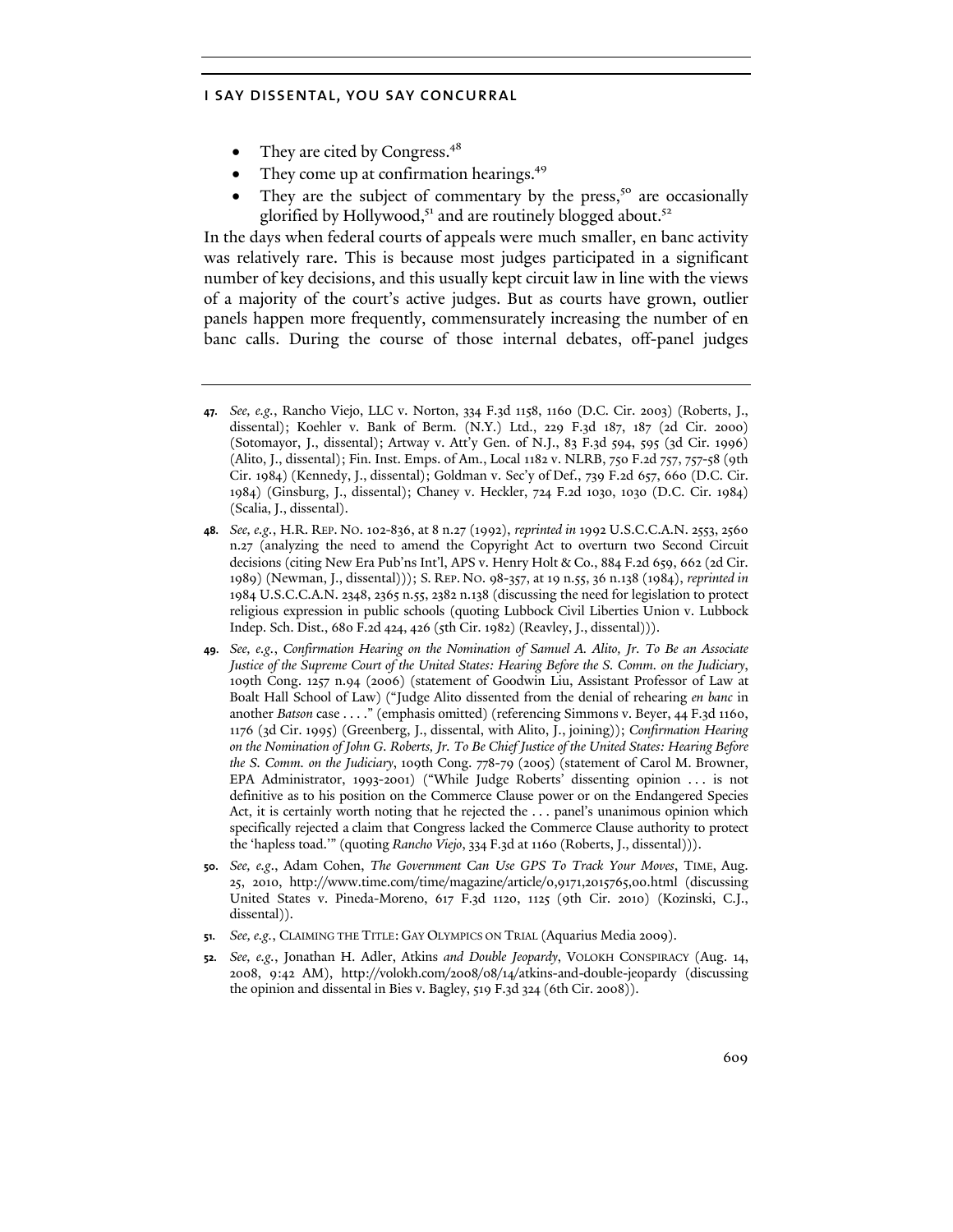- They are cited by Congress.<sup>48</sup>
- They come up at confirmation hearings.<sup>49</sup>
- $\bullet$  They are the subject of commentary by the press,<sup>50</sup> are occasionally glorified by Hollywood, $51$  and are routinely blogged about. $52$

In the days when federal courts of appeals were much smaller, en banc activity was relatively rare. This is because most judges participated in a significant number of key decisions, and this usually kept circuit law in line with the views of a majority of the court's active judges. But as courts have grown, outlier panels happen more frequently, commensurately increasing the number of en banc calls. During the course of those internal debates, off-panel judges

- **49.** *See, e.g.*, *Confirmation Hearing on the Nomination of Samuel A. Alito, Jr. To Be an Associate Justice of the Supreme Court of the United States: Hearing Before the S. Comm. on the Judiciary*, 109th Cong. 1257 n.94 (2006) (statement of Goodwin Liu, Assistant Professor of Law at Boalt Hall School of Law) ("Judge Alito dissented from the denial of rehearing *en banc* in another *Batson* case . . . ." (emphasis omitted) (referencing Simmons v. Beyer, 44 F.3d 1160, 1176 (3d Cir. 1995) (Greenberg, J., dissental, with Alito, J., joining)); *Confirmation Hearing on the Nomination of John G. Roberts, Jr. To Be Chief Justice of the United States: Hearing Before the S. Comm. on the Judiciary*, 109th Cong. 778-79 (2005) (statement of Carol M. Browner, EPA Administrator, 1993-2001) ("While Judge Roberts' dissenting opinion . . . is not definitive as to his position on the Commerce Clause power or on the Endangered Species Act, it is certainly worth noting that he rejected the . . . panel's unanimous opinion which specifically rejected a claim that Congress lacked the Commerce Clause authority to protect the 'hapless toad.'" (quoting *Rancho Viejo*, 334 F.3d at 1160 (Roberts, J., dissental))).
- **50.** *See, e.g*., Adam Cohen, *The Government Can Use GPS To Track Your Moves*, TIME, Aug. 25, 2010, h[ttp://ww](http://www.)[w.](www.)time.com/time/magazine/article/0,9171,2015765,00.html (discussing United States v. Pineda-Moreno, 617 F.3d 1120, 1125 (9th Cir. 2010) (Kozinski, C.J., dissental)).
- **51.** *See, e.g.*, CLAIMING THE TITLE: GAY OLYMPICS ON TRIAL (Aquarius Media 2009).
- **52.** *See, e.g.*, Jonathan H. Adler, Atkins *and Double Jeopardy*, VOLOKH CONSPIRACY (Aug. 14, 2008, 9:42 AM), <http://volokh.com/2008/08/14/a>tkins-and-double-jeopardy (discussing the opinion and dissental in Bies v. Bagley, 519 F.3d 324 (6th Cir. 2008)).

**<sup>47.</sup>** *See, e.g.*, Rancho Viejo, LLC v. Norton, 334 F.3d 1158, 1160 (D.C. Cir. 2003) (Roberts, J., dissental); Koehler v. Bank of Berm. (N.Y.) Ltd., 229 F.3d 187, 187 (2d Cir. 2000) (Sotomayor, J., dissental); Artway v. Att'y Gen. of N.J., 83 F.3d 594, 595 (3d Cir. 1996) (Alito, J., dissental); Fin. Inst. Emps. of Am., Local 1182 v. NLRB, 750 F.2d 757, 757-58 (9th Cir. 1984) (Kennedy, J., dissental); Goldman v. Sec'y of Def., 739 F.2d 657, 660 (D.C. Cir. 1984) (Ginsburg, J., dissental); Chaney v. Heckler, 724 F.2d 1030, 1030 (D.C. Cir. 1984) (Scalia, J., dissental).

**<sup>48.</sup>** *See, e.g.*, H.R. REP. NO. 102-836, at 8 n.27 (1992), *reprinted in* 1992 U.S.C.C.A.N. 2553, 2560 n.27 (analyzing the need to amend the Copyright Act to overturn two Second Circuit decisions (citing New Era Pub'ns Int'l, APS v. Henry Holt & Co., 884 F.2d 659, 662 (2d Cir. 1989) (Newman, J., dissental))); S. REP. NO. 98-357, at 19 n.55, 36 n.138 (1984), *reprinted in* 1984 U.S.C.C.A.N. 2348, 2365 n.55, 2382 n.138 (discussing the need for legislation to protect religious expression in public schools (quoting Lubbock Civil Liberties Union v. Lubbock Indep. Sch. Dist., 680 F.2d 424, 426 (5th Cir. 1982) (Reavley, J., dissental))).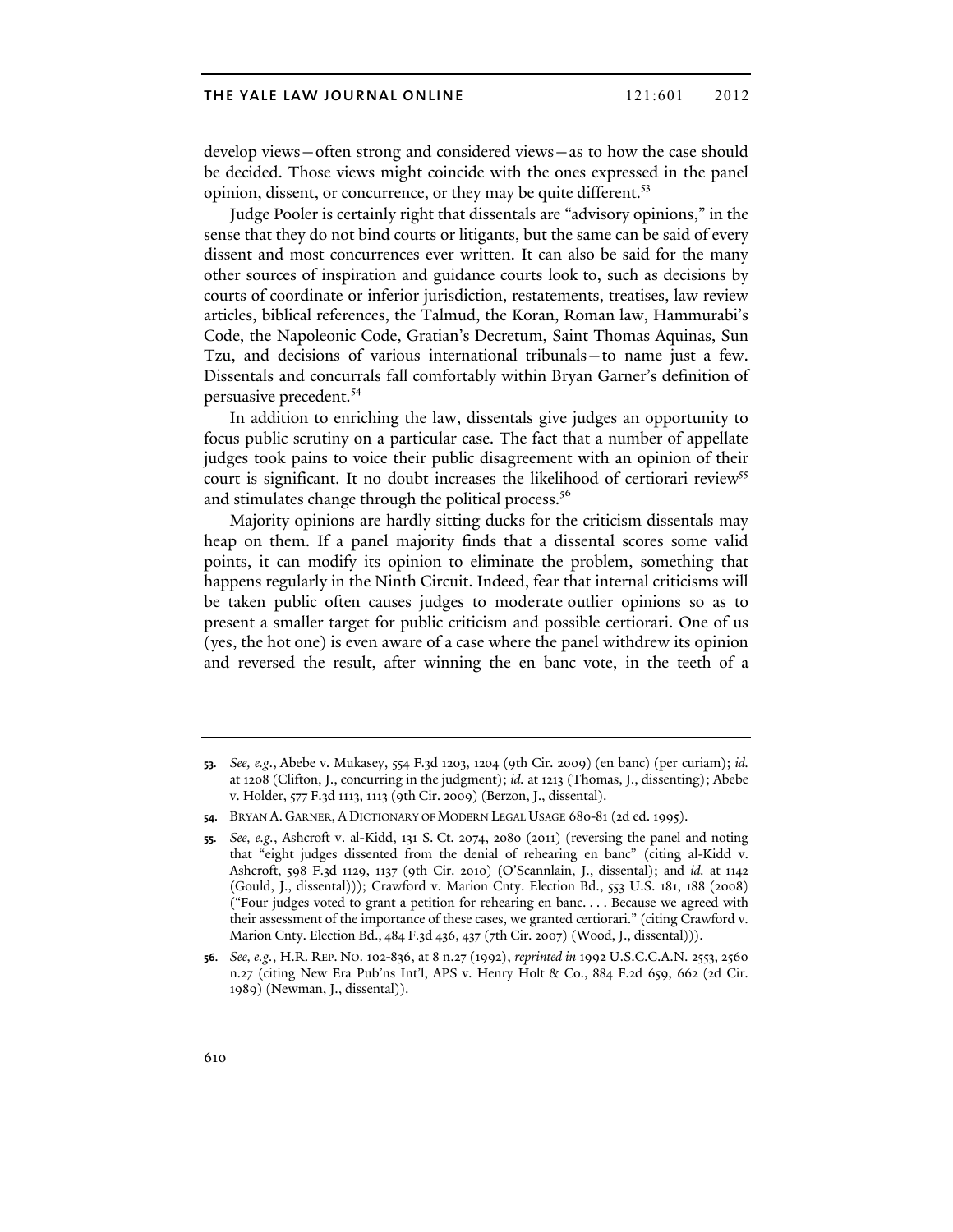#### the yale law journal online 121:601 2012

develop views—often strong and considered views—as to how the case should be decided. Those views might coincide with the ones expressed in the panel opinion, dissent, or concurrence, or they may be quite different.<sup>53</sup>

Judge Pooler is certainly right that dissentals are "advisory opinions," in the sense that they do not bind courts or litigants, but the same can be said of every dissent and most concurrences ever written. It can also be said for the many other sources of inspiration and guidance courts look to, such as decisions by courts of coordinate or inferior jurisdiction, restatements, treatises, law review articles, biblical references, the Talmud, the Koran, Roman law, Hammurabi's Code, the Napoleonic Code, Gratian's Decretum, Saint Thomas Aquinas, Sun Tzu, and decisions of various international tribunals—to name just a few. Dissentals and concurrals fall comfortably within Bryan Garner's definition of persuasive precedent.<sup>54</sup>

In addition to enriching the law, dissentals give judges an opportunity to focus public scrutiny on a particular case. The fact that a number of appellate judges took pains to voice their public disagreement with an opinion of their court is significant. It no doubt increases the likelihood of certiorari review<sup>55</sup> and stimulates change through the political process.<sup>56</sup>

Majority opinions are hardly sitting ducks for the criticism dissentals may heap on them. If a panel majority finds that a dissental scores some valid points, it can modify its opinion to eliminate the problem, something that happens regularly in the Ninth Circuit. Indeed, fear that internal criticisms will be taken public often causes judges to moderate outlier opinions so as to present a smaller target for public criticism and possible certiorari. One of us (yes, the hot one) is even aware of a case where the panel withdrew its opinion and reversed the result, after winning the en banc vote, in the teeth of a

**<sup>53.</sup>** *See, e.g*., Abebe v. Mukasey, 554 F.3d 1203, 1204 (9th Cir. 2009) (en banc) (per curiam); *id.* at 1208 (Clifton, J., concurring in the judgment); *id.* at 1213 (Thomas, J., dissenting); Abebe v. Holder, 577 F.3d 1113, 1113 (9th Cir. 2009) (Berzon, J., dissental).

**<sup>54.</sup>** BRYAN A. GARNER, A DICTIONARY OF MODERN LEGAL USAGE 680-81 (2d ed. 1995).

**<sup>55.</sup>** *See, e.g.*, Ashcroft v. al-Kidd, 131 S. Ct. 2074, 2080 (2011) (reversing the panel and noting that "eight judges dissented from the denial of rehearing en banc" (citing al-Kidd v. Ashcroft, 598 F.3d 1129, 1137 (9th Cir. 2010) (O'Scannlain, J., dissental); and *id.* at 1142 (Gould, J., dissental))); Crawford v. Marion Cnty. Election Bd., 553 U.S. 181, 188 (2008) ("Four judges voted to grant a petition for rehearing en banc. . . . Because we agreed with their assessment of the importance of these cases, we granted certiorari." (citing Crawford v. Marion Cnty. Election Bd., 484 F.3d 436, 437 (7th Cir. 2007) (Wood, J., dissental))).

**<sup>56.</sup>** *See, e.g.*, H.R. REP. NO. 102-836, at 8 n.27 (1992), *reprinted in* 1992 U.S.C.C.A.N. 2553, 2560 n.27 (citing New Era Pub'ns Int'l, APS v. Henry Holt & Co., 884 F.2d 659, 662 (2d Cir. 1989) (Newman, J., dissental)).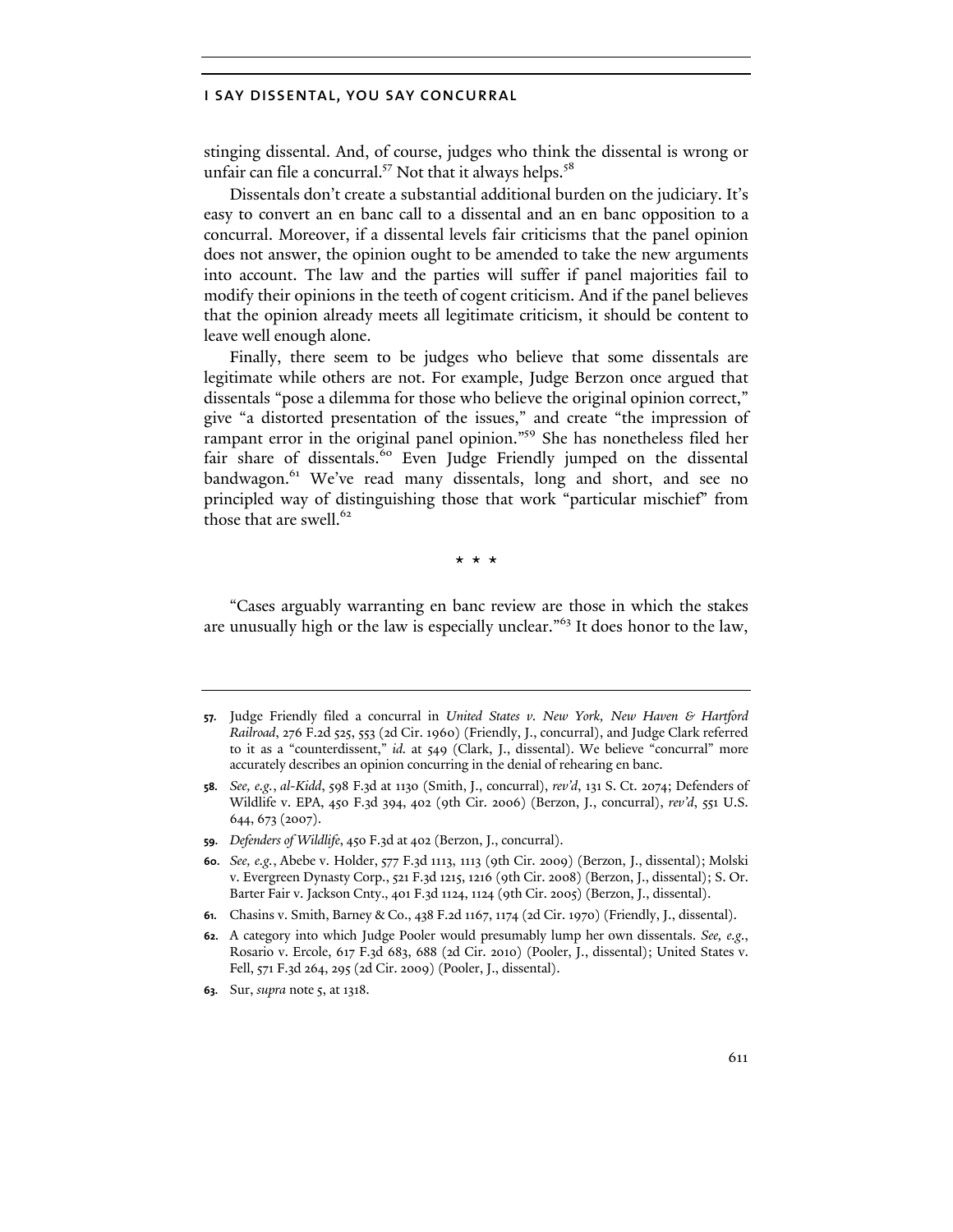stinging dissental. And, of course, judges who think the dissental is wrong or unfair can file a concurral.<sup>57</sup> Not that it always helps.<sup>58</sup>

Dissentals don't create a substantial additional burden on the judiciary. It's easy to convert an en banc call to a dissental and an en banc opposition to a concurral. Moreover, if a dissental levels fair criticisms that the panel opinion does not answer, the opinion ought to be amended to take the new arguments into account. The law and the parties will suffer if panel majorities fail to modify their opinions in the teeth of cogent criticism. And if the panel believes that the opinion already meets all legitimate criticism, it should be content to leave well enough alone.

Finally, there seem to be judges who believe that some dissentals are legitimate while others are not. For example, Judge Berzon once argued that dissentals "pose a dilemma for those who believe the original opinion correct," give "a distorted presentation of the issues," and create "the impression of rampant error in the original panel opinion." <sup>59</sup> She has nonetheless filed her fair share of dissentals.<sup>60</sup> Even Judge Friendly jumped on the dissental bandwagon.<sup>61</sup> We've read many dissentals, long and short, and see no principled way of distinguishing those that work "particular mischief" from those that are swell.<sup>62</sup>

\* \* \*

"Cases arguably warranting en banc review are those in which the stakes are unusually high or the law is especially unclear."<sup>63</sup> It does honor to the law,

**59.** *Defenders of Wildlife*, 450 F.3d at 402 (Berzon, J., concurral).

- **61.** Chasins v. Smith, Barney & Co., 438 F.2d 1167, 1174 (2d Cir. 1970) (Friendly, J., dissental).
- **62.** A category into which Judge Pooler would presumably lump her own dissentals. *See, e.g*., Rosario v. Ercole, 617 F.3d 683, 688 (2d Cir. 2010) (Pooler, J., dissental); United States v. Fell, 571 F.3d 264, 295 (2d Cir. 2009) (Pooler, J., dissental).
- **63.** Sur, *supra* note 5, at 1318.

**<sup>57.</sup>** Judge Friendly filed a concurral in *United States v. New York, New Haven & Hartford Railroad*, 276 F.2d 525, 553 (2d Cir. 1960) (Friendly, J., concurral), and Judge Clark referred to it as a "counterdissent," *id.* at 549 (Clark, J., dissental). We believe "concurral" more accurately describes an opinion concurring in the denial of rehearing en banc.

**<sup>58.</sup>** *See, e.g.*, *al-Kidd*, 598 F.3d at 1130 (Smith, J., concurral), *rev'd*, 131 S. Ct. 2074; Defenders of Wildlife v. EPA, 450 F.3d 394, 402 (9th Cir. 2006) (Berzon, J., concurral), *rev'd*, 551 U.S. 644, 673 (2007).

**<sup>60.</sup>** *See, e.g.*, Abebe v. Holder, 577 F.3d 1113, 1113 (9th Cir. 2009) (Berzon, J., dissental); Molski v. Evergreen Dynasty Corp., 521 F.3d 1215, 1216 (9th Cir. 2008) (Berzon, J., dissental); S. Or. Barter Fair v. Jackson Cnty., 401 F.3d 1124, 1124 (9th Cir. 2005) (Berzon, J., dissental).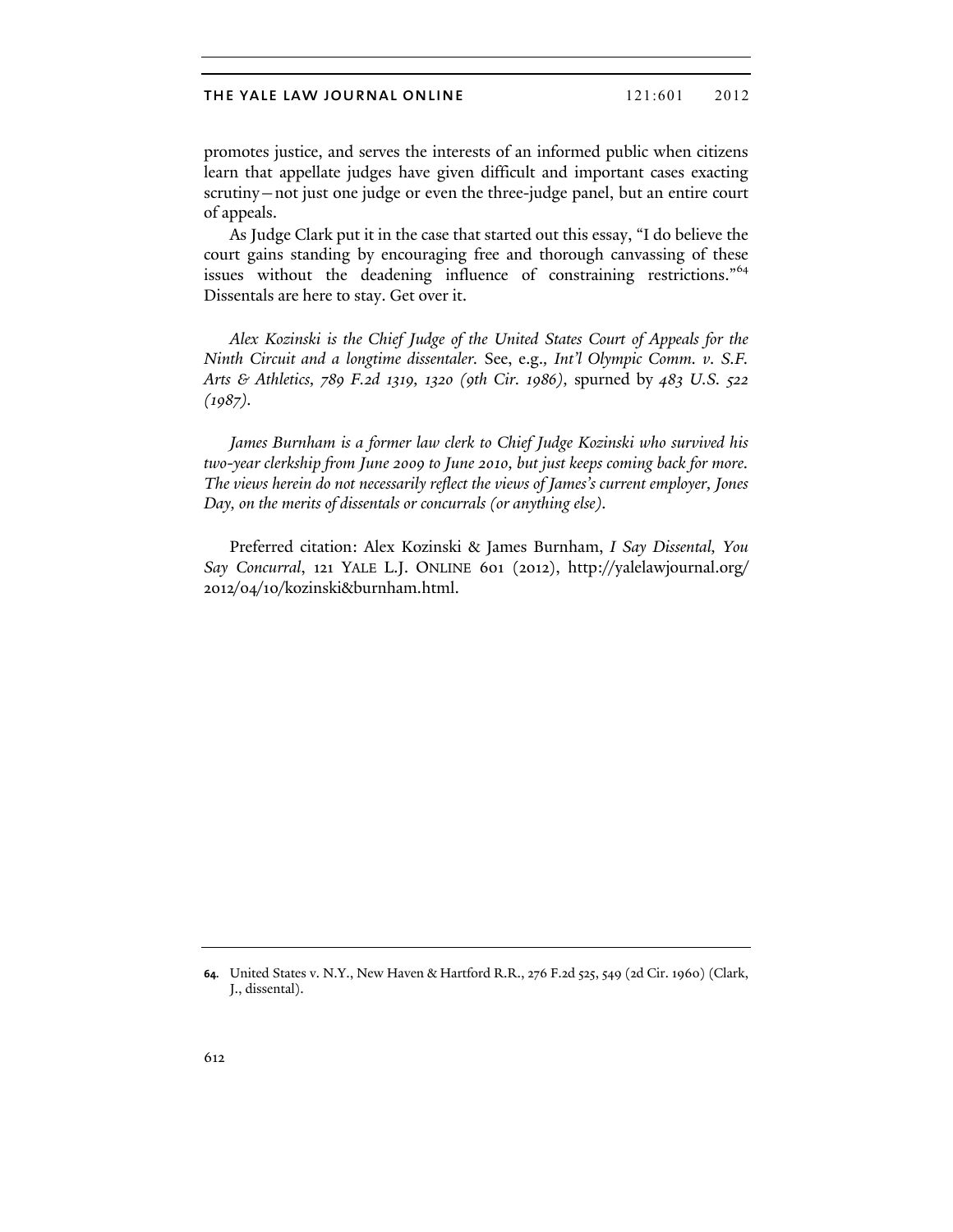promotes justice, and serves the interests of an informed public when citizens learn that appellate judges have given difficult and important cases exacting scrutiny—not just one judge or even the three-judge panel, but an entire court of appeals.

As Judge Clark put it in the case that started out this essay, "I do believe the court gains standing by encouraging free and thorough canvassing of these issues without the deadening influence of constraining restrictions."<sup>64</sup> Dissentals are here to stay. Get over it.

*Alex Kozinski is the Chief Judge of the United States Court of Appeals for the Ninth Circuit and a longtime dissentaler.* See, e.g.*, Int'l Olympic Comm. v. S.F. Arts & Athletics, 789 F.2d 1319, 1320 (9th Cir. 1986),* spurned by *483 U.S. 522 (1987).*

*James Burnham is a former law clerk to Chief Judge Kozinski who survived his two-year clerkship from June 2009 to June 2010, but just keeps coming back for more. The views herein do not necessarily reflect the views of James's current employer, Jones Day, on the merits of dissentals or concurrals (or anything else).*

Preferred citation: Alex Kozinski & James Burnham, *I Say Dissental, You Say Concurral*, 121 YALE L.J. ONLINE 601 (2012), http://yalelawjournal.org/ 2012/04/10/kozinski&burnham.html.

**<sup>64.</sup>** United States v. N.Y., New Haven & Hartford R.R., 276 F.2d 525, 549 (2d Cir. 1960) (Clark, J., dissental).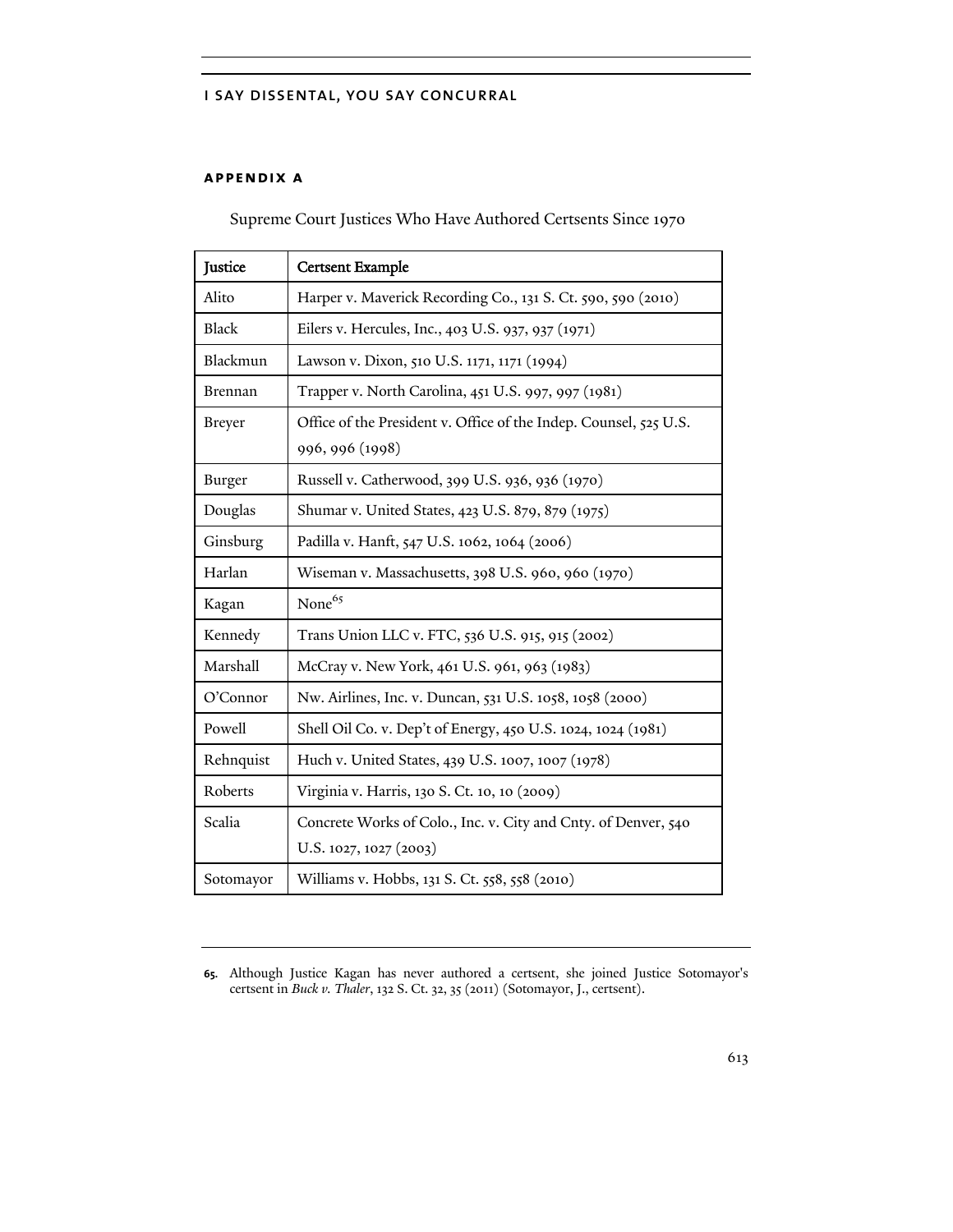#### **appendix a**

Supreme Court Justices Who Have Authored Certsents Since 1970

| Justice       | <b>Certsent Example</b>                                                                  |
|---------------|------------------------------------------------------------------------------------------|
| Alito         | Harper v. Maverick Recording Co., 131 S. Ct. 590, 590 (2010)                             |
| <b>Black</b>  | Eilers v. Hercules, Inc., 403 U.S. 937, 937 (1971)                                       |
| Blackmun      | Lawson v. Dixon, 510 U.S. 1171, 1171 (1994)                                              |
| Brennan       | Trapper v. North Carolina, 451 U.S. 997, 997 (1981)                                      |
| <b>Breyer</b> | Office of the President v. Office of the Indep. Counsel, 525 U.S.<br>996, 996 (1998)     |
| Burger        | Russell v. Catherwood, 399 U.S. 936, 936 (1970)                                          |
| Douglas       | Shumar v. United States, 423 U.S. 879, 879 (1975)                                        |
| Ginsburg      | Padilla v. Hanft, 547 U.S. 1062, 1064 (2006)                                             |
| Harlan        | Wiseman v. Massachusetts, 398 U.S. 960, 960 (1970)                                       |
| Kagan         | None <sup>65</sup>                                                                       |
| Kennedy       | Trans Union LLC v. FTC, 536 U.S. 915, 915 (2002)                                         |
| Marshall      | McCray v. New York, 461 U.S. 961, 963 (1983)                                             |
| O'Connor      | Nw. Airlines, Inc. v. Duncan, 531 U.S. 1058, 1058 (2000)                                 |
| Powell        | Shell Oil Co. v. Dep't of Energy, 450 U.S. 1024, 1024 (1981)                             |
| Rehnquist     | Huch v. United States, 439 U.S. 1007, 1007 (1978)                                        |
| Roberts       | Virginia v. Harris, 130 S. Ct. 10, 10 (2009)                                             |
| Scalia        | Concrete Works of Colo., Inc. v. City and Cnty. of Denver, 540<br>U.S. 1027, 1027 (2003) |
| Sotomayor     | Williams v. Hobbs, 131 S. Ct. 558, 558 (2010)                                            |

**<sup>65.</sup>** Although Justice Kagan has never authored a certsent, she joined Justice Sotomayor's certsent in *Buck v. Thaler*, 132 S. Ct. 32, 35 (2011) (Sotomayor, J., certsent).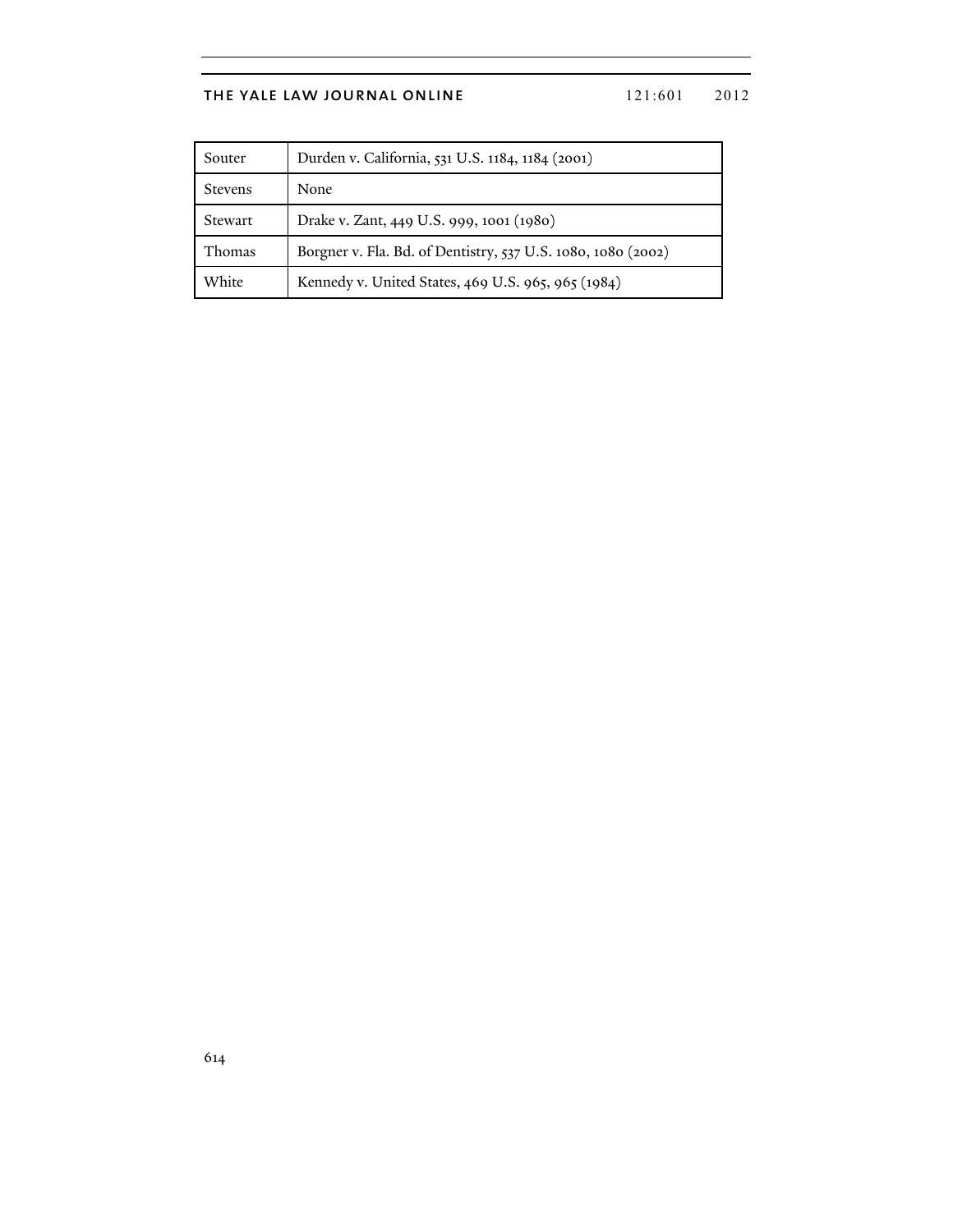| Souter         | Durden v. California, 531 U.S. 1184, 1184 (2001)             |
|----------------|--------------------------------------------------------------|
| <b>Stevens</b> | None                                                         |
| Stewart        | Drake v. Zant, 449 U.S. 999, 1001 (1980)                     |
| <b>Thomas</b>  | Borgner v. Fla. Bd. of Dentistry, 537 U.S. 1080, 1080 (2002) |
| White          | Kennedy v. United States, 469 U.S. 965, 965 (1984)           |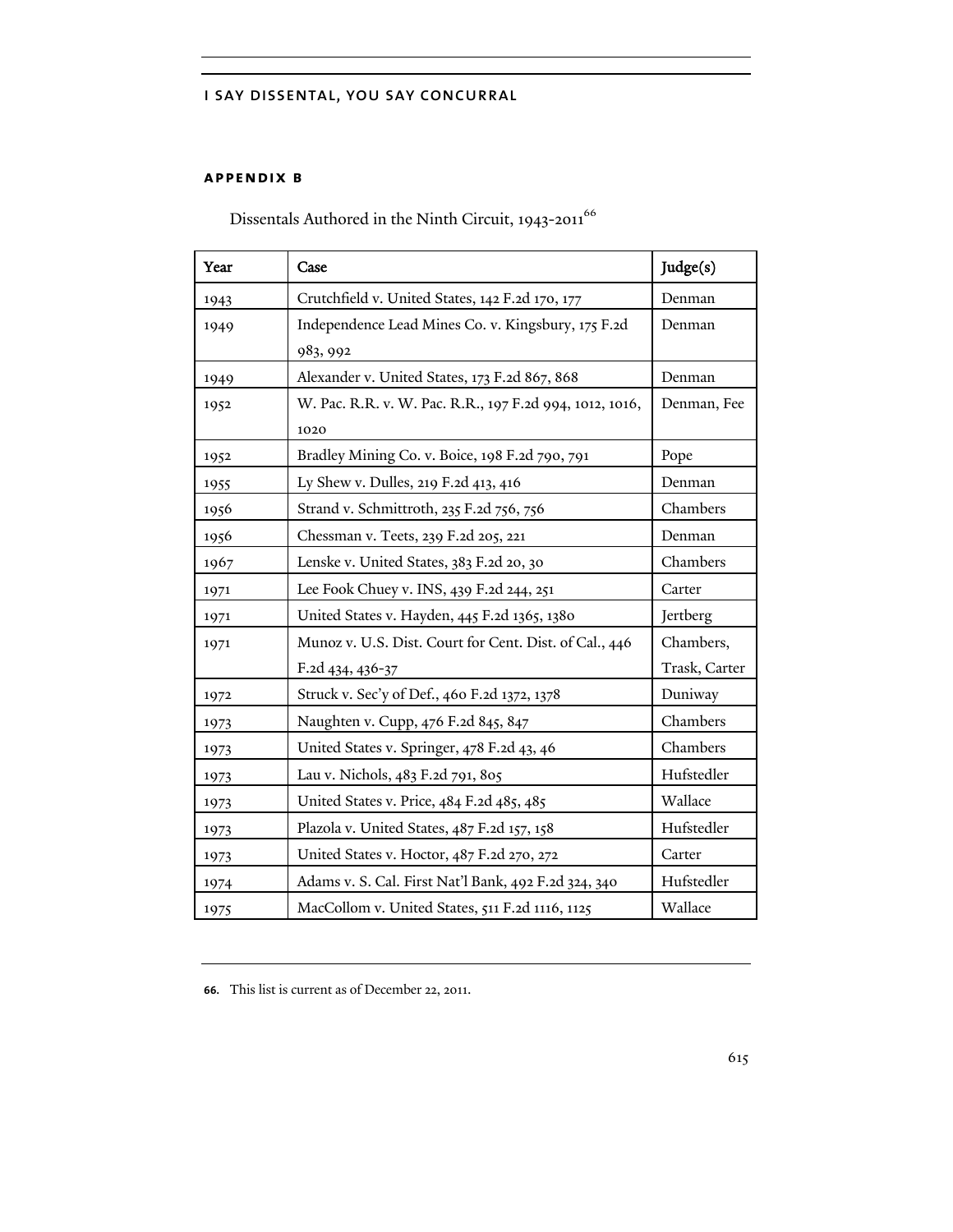#### **appendix b**

| Year | Case                                                    | Judge(s)      |
|------|---------------------------------------------------------|---------------|
| 1943 | Crutchfield v. United States, 142 F.2d 170, 177         | Denman        |
| 1949 | Independence Lead Mines Co. v. Kingsbury, 175 F.2d      | Denman        |
|      | 983, 992                                                |               |
| 1949 | Alexander v. United States, 173 F.2d 867, 868           | Denman        |
| 1952 | W. Pac. R.R. v. W. Pac. R.R., 197 F.2d 994, 1012, 1016, | Denman, Fee   |
|      | 1020                                                    |               |
| 1952 | Bradley Mining Co. v. Boice, 198 F.2d 790, 791          | Pope          |
| 1955 | Ly Shew v. Dulles, 219 F.2d 413, 416                    | Denman        |
| 1956 | Strand v. Schmittroth, 235 F.2d 756, 756                | Chambers      |
| 1956 | Chessman v. Teets, 239 F.2d 205, 221                    | Denman        |
| 1967 | Lenske v. United States, 383 F.2d 20, 30                | Chambers      |
| 1971 | Lee Fook Chuey v. INS, 439 F.2d 244, 251                | Carter        |
| 1971 | United States v. Hayden, 445 F.2d 1365, 1380            | Jertberg      |
| 1971 | Munoz v. U.S. Dist. Court for Cent. Dist. of Cal., 446  | Chambers,     |
|      | F.2d 434, 436-37                                        | Trask, Carter |
| 1972 | Struck v. Sec'y of Def., 460 F.2d 1372, 1378            | Duniway       |
| 1973 | Naughten v. Cupp, 476 F.2d 845, 847                     | Chambers      |
| 1973 | United States v. Springer, 478 F.2d 43, 46              | Chambers      |
| 1973 | Lau v. Nichols, 483 F.2d 791, 805                       | Hufstedler    |
| 1973 | United States v. Price, 484 F.2d 485, 485               | Wallace       |
| 1973 | Plazola v. United States, 487 F.2d 157, 158             | Hufstedler    |
| 1973 | United States v. Hoctor, 487 F.2d 270, 272              | Carter        |
| 1974 | Adams v. S. Cal. First Nat'l Bank, 492 F.2d 324, 340    | Hufstedler    |
| 1975 | MacCollom v. United States, 511 F.2d 1116, 1125         | Wallace       |

**<sup>66.</sup>** This list is current as of December 22, 2011.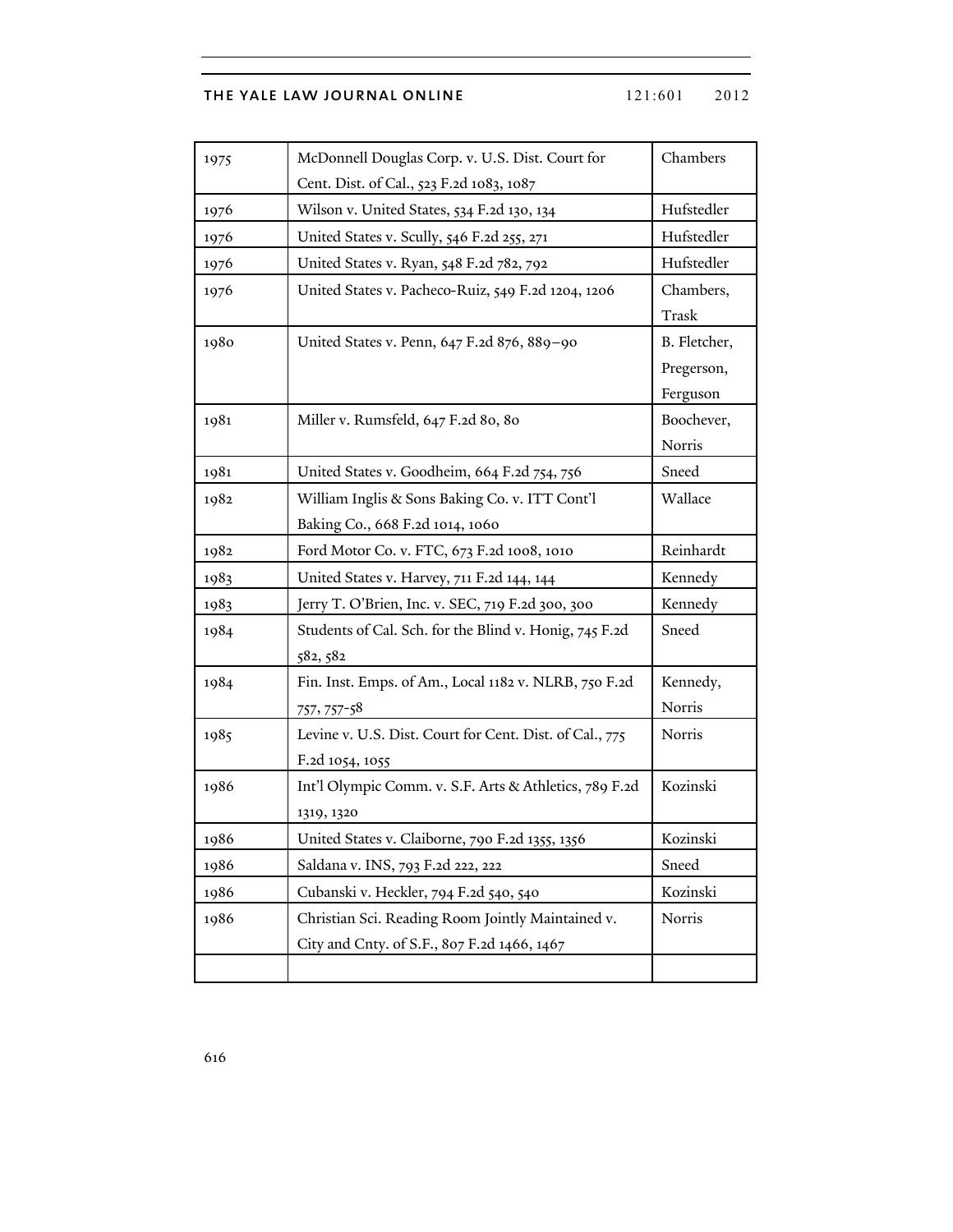| 1975 | McDonnell Douglas Corp. v. U.S. Dist. Court for         | Chambers     |
|------|---------------------------------------------------------|--------------|
|      | Cent. Dist. of Cal., 523 F.2d 1083, 1087                |              |
| 1976 | Wilson v. United States, 534 F.2d 130, 134              | Hufstedler   |
| 1976 | United States v. Scully, 546 F.2d 255, 271              | Hufstedler   |
| 1976 | United States v. Ryan, 548 F.2d 782, 792                | Hufstedler   |
| 1976 | United States v. Pacheco-Ruiz, 549 F.2d 1204, 1206      | Chambers,    |
|      |                                                         | Trask        |
| 1980 | United States v. Penn, 647 F.2d 876, 889-90             | B. Fletcher, |
|      |                                                         | Pregerson,   |
|      |                                                         | Ferguson     |
| 1981 | Miller v. Rumsfeld, 647 F.2d 80, 80                     | Boochever,   |
|      |                                                         | Norris       |
| 1981 | United States v. Goodheim, 664 F.2d 754, 756            | Sneed        |
| 1982 | William Inglis & Sons Baking Co. v. ITT Cont'l          | Wallace      |
|      | Baking Co., 668 F.2d 1014, 1060                         |              |
| 1982 | Ford Motor Co. v. FTC, 673 F.2d 1008, 1010              | Reinhardt    |
| 1983 | United States v. Harvey, 711 F.2d 144, 144              | Kennedy      |
| 1983 | Jerry T. O'Brien, Inc. v. SEC, 719 F.2d 300, 300        | Kennedy      |
| 1984 | Students of Cal. Sch. for the Blind v. Honig, 745 F.2d  | Sneed        |
|      | 582, 582                                                |              |
| 1984 | Fin. Inst. Emps. of Am., Local 1182 v. NLRB, 750 F.2d   | Kennedy,     |
|      | 757, 757-58                                             | Norris       |
| 1985 | Levine v. U.S. Dist. Court for Cent. Dist. of Cal., 775 | Norris       |
|      | F.2d 1054, 1055                                         |              |
| 1986 | Int'l Olympic Comm. v. S.F. Arts & Athletics, 789 F.2d  | Kozinski     |
|      | 1319, 1320                                              |              |
| 1986 | United States v. Claiborne, 790 F.2d 1355, 1356         | Kozinski     |
| 1986 | Saldana v. INS, 793 F.2d 222, 222                       | Sneed        |
| 1986 | Cubanski v. Heckler, 794 F.2d 540, 540                  | Kozinski     |
| 1986 | Christian Sci. Reading Room Jointly Maintained v.       | Norris       |
|      | City and Cnty. of S.F., 807 F.2d 1466, 1467             |              |
|      |                                                         |              |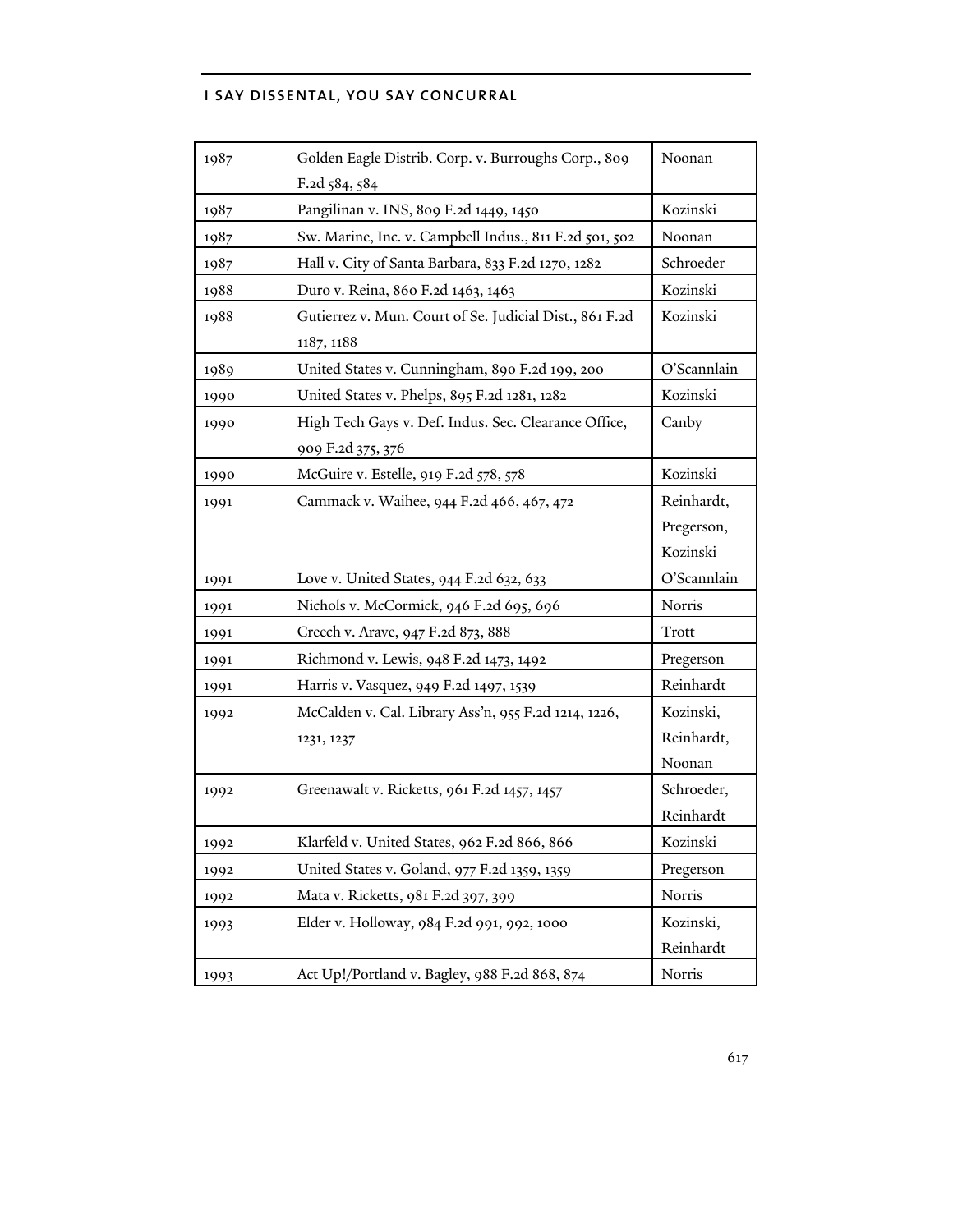| 1987 | Golden Eagle Distrib. Corp. v. Burroughs Corp., 809<br>F.2d 584, 584      | Noonan                               |
|------|---------------------------------------------------------------------------|--------------------------------------|
| 1987 | Pangilinan v. INS, 809 F.2d 1449, 1450                                    | Kozinski                             |
| 1987 | Sw. Marine, Inc. v. Campbell Indus., 811 F.2d 501, 502                    | Noonan                               |
| 1987 | Hall v. City of Santa Barbara, 833 F.2d 1270, 1282                        | Schroeder                            |
| 1988 | Duro v. Reina, 860 F.2d 1463, 1463                                        | Kozinski                             |
| 1988 | Gutierrez v. Mun. Court of Se. Judicial Dist., 861 F.2d<br>1187, 1188     | Kozinski                             |
| 1989 | United States v. Cunningham, 890 F.2d 199, 200                            | O'Scannlain                          |
| 1990 | United States v. Phelps, 895 F.2d 1281, 1282                              | Kozinski                             |
| 1990 | High Tech Gays v. Def. Indus. Sec. Clearance Office,<br>909 F.2d 375, 376 | Canby                                |
| 1990 | McGuire v. Estelle, 919 F.2d 578, 578                                     | Kozinski                             |
| 1991 | Cammack v. Waihee, 944 F.2d 466, 467, 472                                 | Reinhardt,<br>Pregerson,<br>Kozinski |
|      |                                                                           |                                      |
| 1991 | Love v. United States, 944 F.2d 632, 633                                  | O'Scannlain                          |
| 1991 | Nichols v. McCormick, 946 F.2d 695, 696                                   | Norris                               |
| 1991 | Creech v. Arave, 947 F.2d 873, 888                                        | Trott                                |
| 1991 | Richmond v. Lewis, 948 F.2d 1473, 1492                                    | Pregerson                            |
| 1991 | Harris v. Vasquez, 949 F.2d 1497, 1539                                    | Reinhardt                            |
| 1992 | McCalden v. Cal. Library Ass'n, 955 F.2d 1214, 1226,                      | Kozinski,                            |
|      | 1231, 1237                                                                | Reinhardt,<br>Noonan                 |
| 1992 | Greenawalt v. Ricketts, 961 F.2d 1457, 1457                               | Schroeder,<br>Reinhardt              |
| 1992 | Klarfeld v. United States, 962 F.2d 866, 866                              | Kozinski                             |
| 1992 | United States v. Goland, 977 F.2d 1359, 1359                              | Pregerson                            |
| 1992 | Mata v. Ricketts, 981 F.2d 397, 399                                       | Norris                               |
| 1993 | Elder v. Holloway, 984 F.2d 991, 992, 1000                                | Kozinski,<br>Reinhardt               |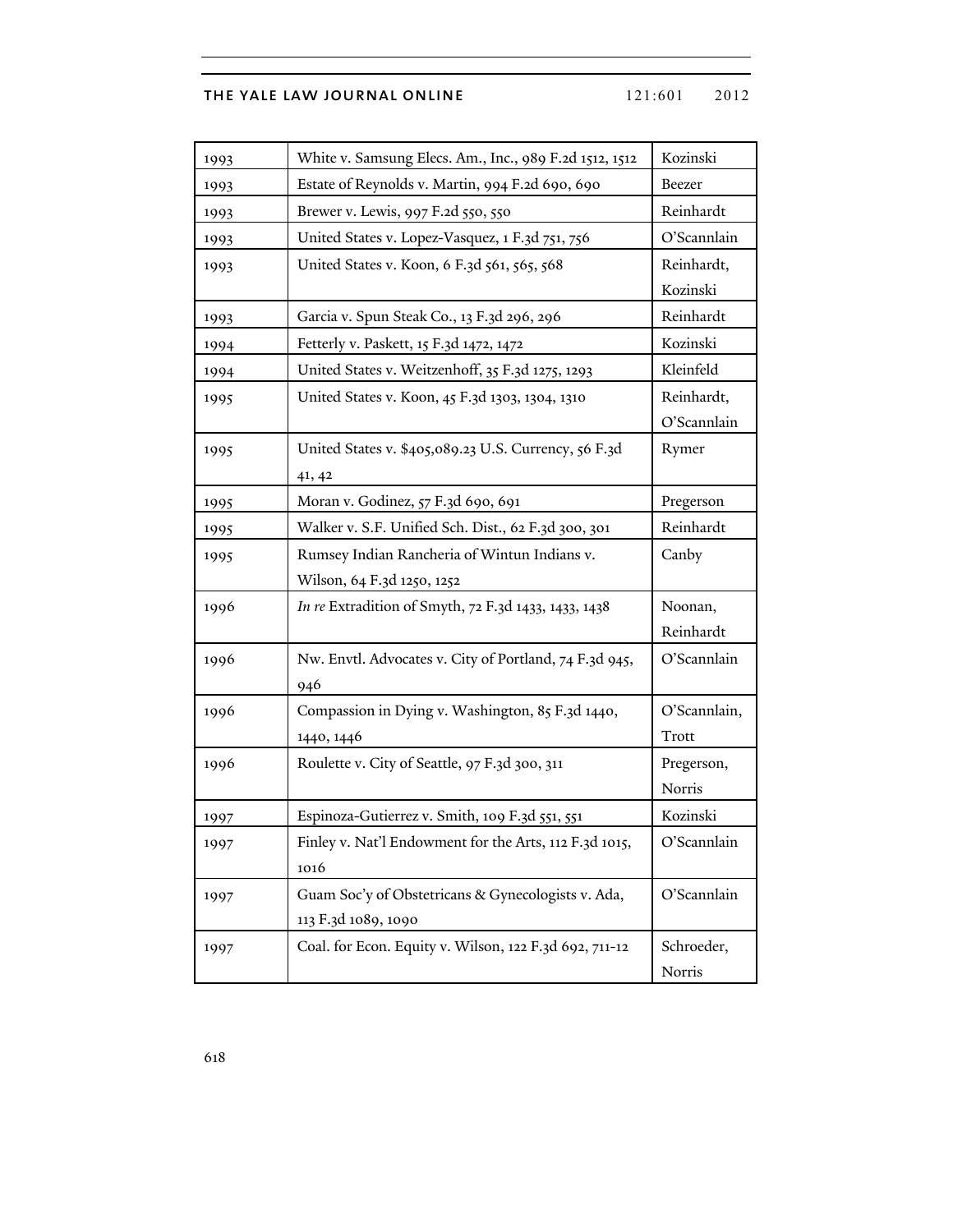| 1993 | White v. Samsung Elecs. Am., Inc., 989 F.2d 1512, 1512                    | Kozinski                  |
|------|---------------------------------------------------------------------------|---------------------------|
| 1993 | Estate of Reynolds v. Martin, 994 F.2d 690, 690                           | Beezer                    |
| 1993 | Brewer v. Lewis, 997 F.2d 550, 550                                        | Reinhardt                 |
| 1993 | United States v. Lopez-Vasquez, 1 F.3d 751, 756                           | O'Scannlain               |
| 1993 | United States v. Koon, 6 F.3d 561, 565, 568                               | Reinhardt,<br>Kozinski    |
| 1993 | Garcia v. Spun Steak Co., 13 F.3d 296, 296                                | Reinhardt                 |
| 1994 | Fetterly v. Paskett, 15 F.3d 1472, 1472                                   | Kozinski                  |
| 1994 | United States v. Weitzenhoff, 35 F.3d 1275, 1293                          | Kleinfeld                 |
| 1995 | United States v. Koon, 45 F.3d 1303, 1304, 1310                           | Reinhardt,<br>O'Scannlain |
| 1995 | United States v. \$405,089.23 U.S. Currency, 56 F.3d<br>41, 42            | Rymer                     |
| 1995 | Moran v. Godinez, 57 F.3d 690, 691                                        | Pregerson                 |
| 1995 | Walker v. S.F. Unified Sch. Dist., 62 F.3d 300, 301                       | Reinhardt                 |
| 1995 | Rumsey Indian Rancheria of Wintun Indians v.                              | Canby                     |
|      | Wilson, 64 F.3d 1250, 1252                                                |                           |
| 1996 | In re Extradition of Smyth, 72 F.3d 1433, 1433, 1438                      | Noonan,<br>Reinhardt      |
| 1996 | Nw. Envtl. Advocates v. City of Portland, 74 F.3d 945,<br>946             | O'Scannlain               |
| 1996 | Compassion in Dying v. Washington, 85 F.3d 1440,<br>1440, 1446            | O'Scannlain,<br>Trott     |
| 1996 | Roulette v. City of Seattle, 97 F.3d 300, 311                             | Pregerson,<br>Norris      |
| 1997 | Espinoza-Gutierrez v. Smith, 109 F.3d 551, 551                            | Kozinski                  |
| 1997 | Finley v. Nat'l Endowment for the Arts, 112 F.3d 1015,<br>1016            | O'Scannlain               |
| 1997 | Guam Soc'y of Obstetricans & Gynecologists v. Ada,<br>113 F.3d 1089, 1090 | O'Scannlain               |
| 1997 | Coal. for Econ. Equity v. Wilson, 122 F.3d 692, 711-12                    | Schroeder,<br>Norris      |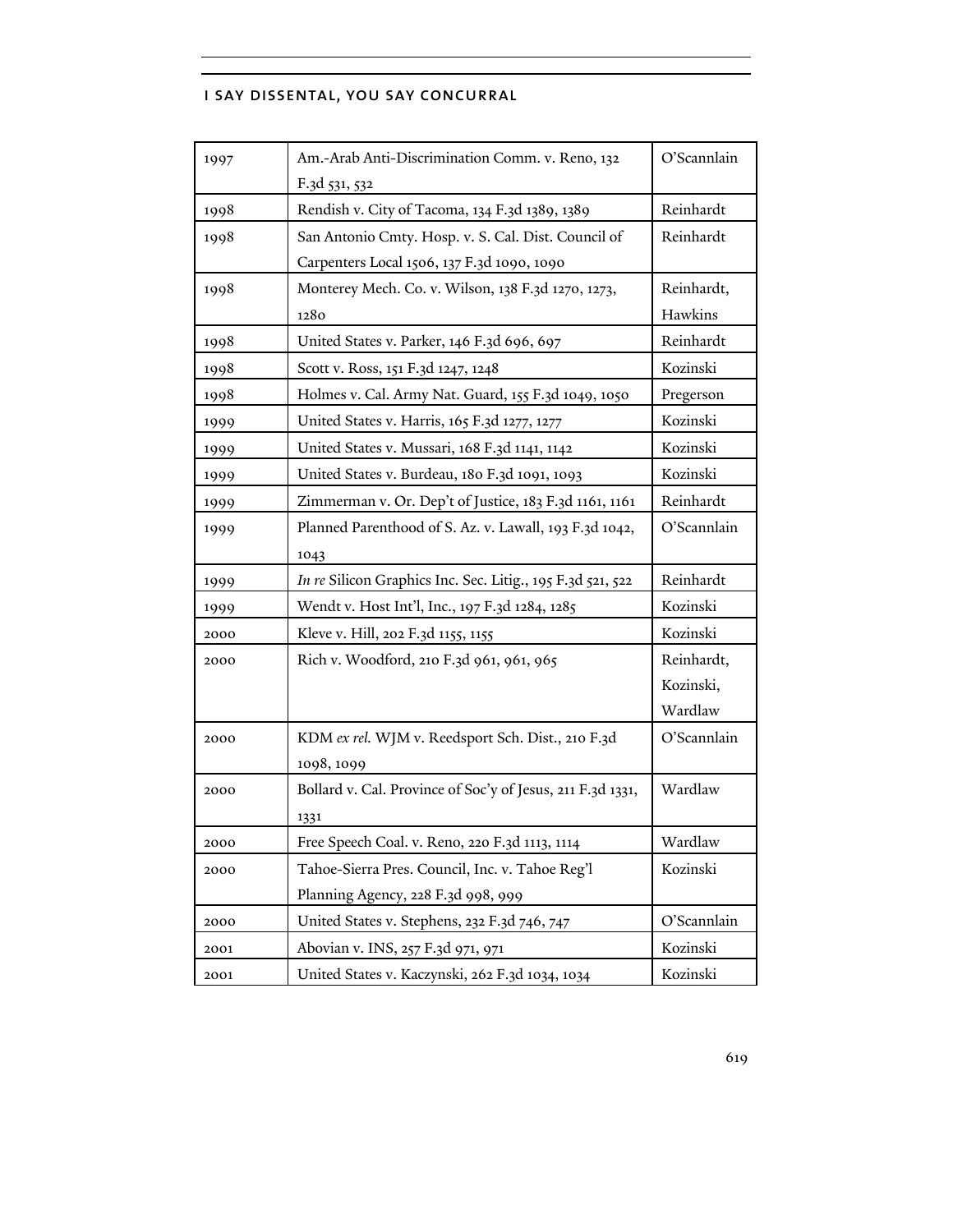| 1997 | Am.-Arab Anti-Discrimination Comm. v. Reno, 132<br>F.3d 531, 532                                  | O'Scannlain           |
|------|---------------------------------------------------------------------------------------------------|-----------------------|
| 1998 | Rendish v. City of Tacoma, 134 F.3d 1389, 1389                                                    | Reinhardt             |
| 1998 | San Antonio Cmty. Hosp. v. S. Cal. Dist. Council of<br>Carpenters Local 1506, 137 F.3d 1090, 1090 | Reinhardt             |
| 1998 | Monterey Mech. Co. v. Wilson, 138 F.3d 1270, 1273,<br>1280                                        | Reinhardt,<br>Hawkins |
| 1998 | United States v. Parker, 146 F.3d 696, 697                                                        | Reinhardt             |
| 1998 | Scott v. Ross, 151 F.3d 1247, 1248                                                                | Kozinski              |
| 1998 | Holmes v. Cal. Army Nat. Guard, 155 F.3d 1049, 1050                                               | Pregerson             |
| 1999 | United States v. Harris, 165 F.3d 1277, 1277                                                      | Kozinski              |
| 1999 | United States v. Mussari, 168 F.3d 1141, 1142                                                     | Kozinski              |
| 1999 | United States v. Burdeau, 180 F.3d 1091, 1093                                                     | Kozinski              |
| 1999 | Zimmerman v. Or. Dep't of Justice, 183 F.3d 1161, 1161                                            | Reinhardt             |
| 1999 | Planned Parenthood of S. Az. v. Lawall, 193 F.3d 1042,<br>1043                                    | O'Scannlain           |
| 1999 | In re Silicon Graphics Inc. Sec. Litig., 195 F.3d 521, 522                                        | Reinhardt             |
| 1999 | Wendt v. Host Int'l, Inc., 197 F.3d 1284, 1285                                                    | Kozinski              |
| 2000 | Kleve v. Hill, 202 F.3d 1155, 1155                                                                | Kozinski              |
| 2000 | Rich v. Woodford, 210 F.3d 961, 961, 965                                                          | Reinhardt,            |
|      |                                                                                                   | Kozinski,             |
|      |                                                                                                   | Wardlaw               |
| 2000 | KDM ex rel. WJM v. Reedsport Sch. Dist., 210 F.3d<br>1098, 1099                                   | O'Scannlain           |
| 2000 | Bollard v. Cal. Province of Soc'y of Jesus, 211 F.3d 1331,<br>1331                                | Wardlaw               |
| 2000 | Free Speech Coal. v. Reno, 220 F.3d 1113, 1114                                                    | Wardlaw               |
| 2000 | Tahoe-Sierra Pres. Council, Inc. v. Tahoe Reg'l                                                   | Kozinski              |
|      | Planning Agency, 228 F.3d 998, 999                                                                |                       |
| 2000 | United States v. Stephens, 232 F.3d 746, 747                                                      | O'Scannlain           |
| 2001 | Abovian v. INS, 257 F.3d 971, 971                                                                 | Kozinski              |
| 2001 | United States v. Kaczynski, 262 F.3d 1034, 1034                                                   | Kozinski              |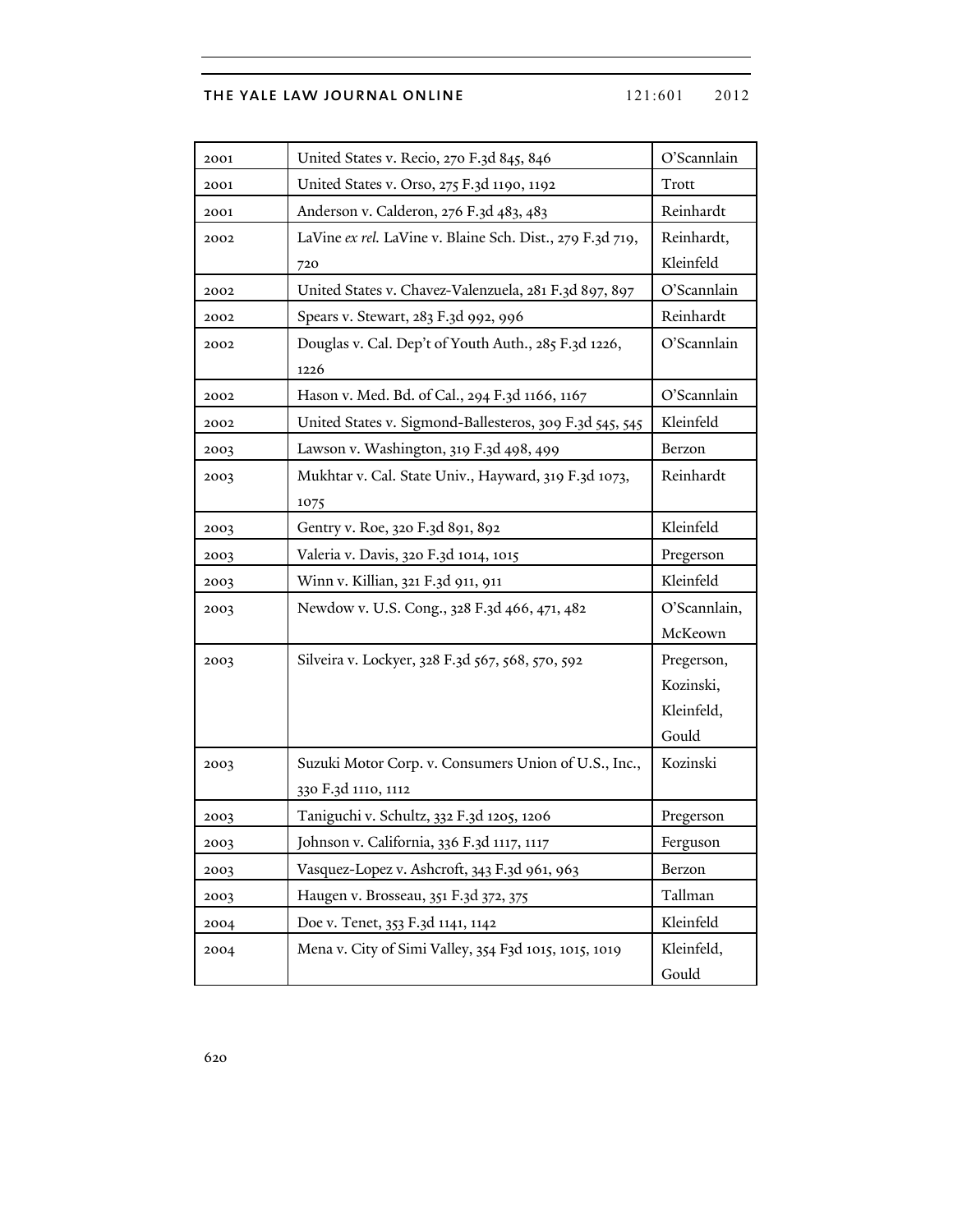| 2001 | United States v. Recio, 270 F.3d 845, 846                 | O'Scannlain  |
|------|-----------------------------------------------------------|--------------|
| 2001 | United States v. Orso, 275 F.3d 1190, 1192                | Trott        |
| 2001 | Anderson v. Calderon, 276 F.3d 483, 483                   | Reinhardt    |
| 2002 | LaVine ex rel. LaVine v. Blaine Sch. Dist., 279 F.3d 719, | Reinhardt,   |
|      | 720                                                       | Kleinfeld    |
| 2002 | United States v. Chavez-Valenzuela, 281 F.3d 897, 897     | O'Scannlain  |
| 2002 | Spears v. Stewart, 283 F.3d 992, 996                      | Reinhardt    |
| 2002 | Douglas v. Cal. Dep't of Youth Auth., 285 F.3d 1226,      | O'Scannlain  |
|      | 1226                                                      |              |
| 2002 | Hason v. Med. Bd. of Cal., 294 F.3d 1166, 1167            | O'Scannlain  |
| 2002 | United States v. Sigmond-Ballesteros, 309 F.3d 545, 545   | Kleinfeld    |
| 2003 | Lawson v. Washington, 319 F.3d 498, 499                   | Berzon       |
| 2003 | Mukhtar v. Cal. State Univ., Hayward, 319 F.3d 1073,      | Reinhardt    |
|      | 1075                                                      |              |
| 2003 | Gentry v. Roe, 320 F.3d 891, 892                          | Kleinfeld    |
| 2003 | Valeria v. Davis, 320 F.3d 1014, 1015                     | Pregerson    |
| 2003 | Winn v. Killian, 321 F.3d 911, 911                        | Kleinfeld    |
| 2003 | Newdow v. U.S. Cong., 328 F.3d 466, 471, 482              | O'Scannlain, |
|      |                                                           | McKeown      |
| 2003 | Silveira v. Lockyer, 328 F.3d 567, 568, 570, 592          | Pregerson,   |
|      |                                                           | Kozinski,    |
|      |                                                           | Kleinfeld,   |
|      |                                                           | Gould        |
| 2003 | Suzuki Motor Corp. v. Consumers Union of U.S., Inc.,      | Kozinski     |
|      | 330 F.3d 1110, 1112                                       |              |
| 2003 | Taniguchi v. Schultz, 332 F.3d 1205, 1206                 | Pregerson    |
| 2003 | Johnson v. California, 336 F.3d 1117, 1117                | Ferguson     |
| 2003 | Vasquez-Lopez v. Ashcroft, 343 F.3d 961, 963              | Berzon       |
| 2003 | Haugen v. Brosseau, 351 F.3d 372, 375                     | Tallman      |
| 2004 | Doe v. Tenet, 353 F.3d 1141, 1142                         | Kleinfeld    |
| 2004 | Mena v. City of Simi Valley, 354 F3d 1015, 1015, 1019     | Kleinfeld,   |
|      |                                                           | Gould        |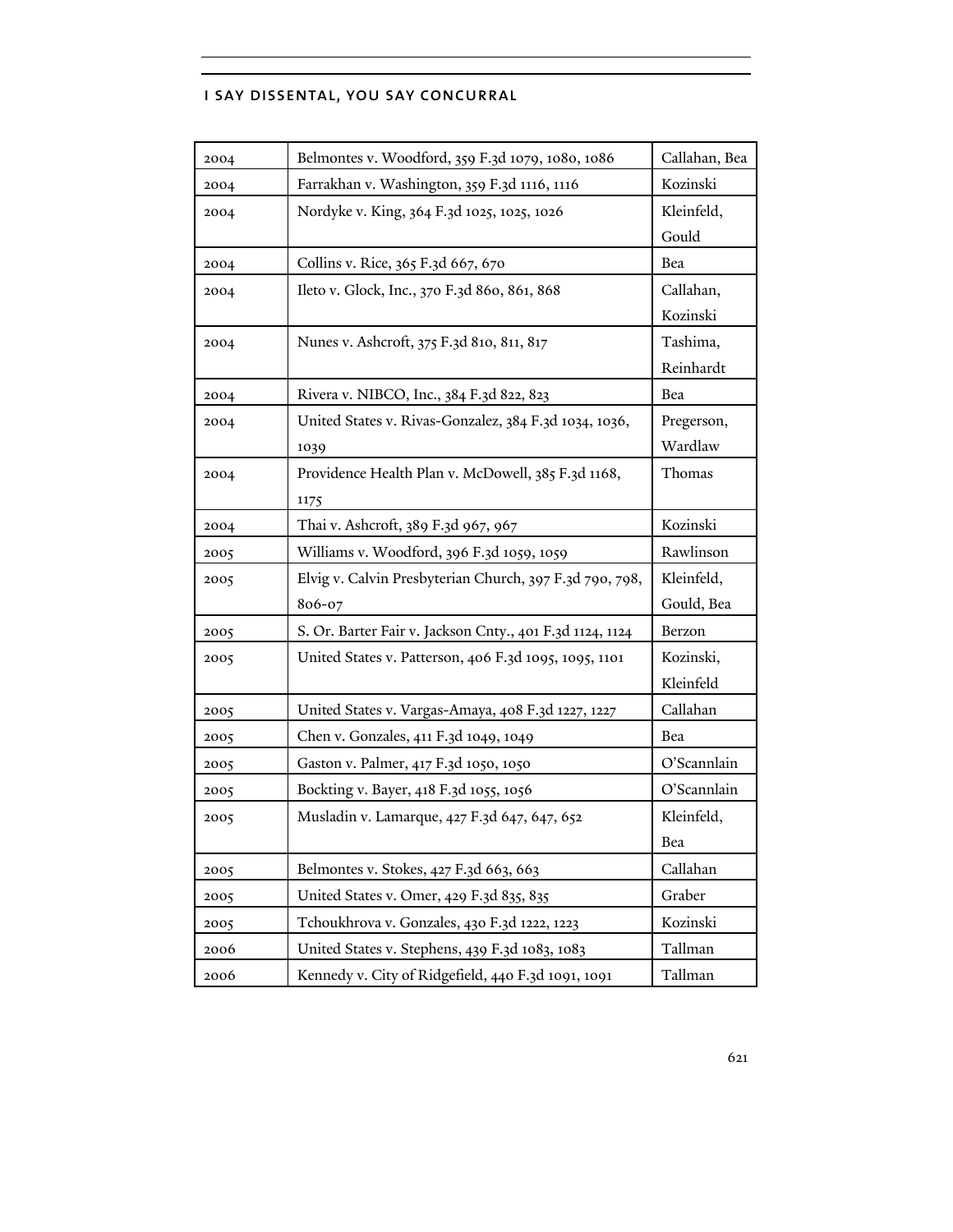| 2004 | Belmontes v. Woodford, 359 F.3d 1079, 1080, 1086         | Callahan, Bea |
|------|----------------------------------------------------------|---------------|
| 2004 | Farrakhan v. Washington, 359 F.3d 1116, 1116             | Kozinski      |
| 2004 | Nordyke v. King, 364 F.3d 1025, 1025, 1026               | Kleinfeld,    |
|      |                                                          | Gould         |
| 2004 | Collins v. Rice, 365 F.3d 667, 670                       | Bea           |
| 2004 | Ileto v. Glock, Inc., 370 F.3d 860, 861, 868             | Callahan,     |
|      |                                                          | Kozinski      |
| 2004 | Nunes v. Ashcroft, 375 F.3d 810, 811, 817                | Tashima,      |
|      |                                                          | Reinhardt     |
| 2004 | Rivera v. NIBCO, Inc., 384 F.3d 822, 823                 | Bea           |
| 2004 | United States v. Rivas-Gonzalez, 384 F.3d 1034, 1036,    | Pregerson,    |
|      | 1039                                                     | Wardlaw       |
| 2004 | Providence Health Plan v. McDowell, 385 F.3d 1168,       | Thomas        |
|      | 1175                                                     |               |
| 2004 | Thai v. Ashcroft, 389 F.3d 967, 967                      | Kozinski      |
| 2005 | Williams v. Woodford, 396 F.3d 1059, 1059                | Rawlinson     |
| 2005 | Elvig v. Calvin Presbyterian Church, 397 F.3d 790, 798,  | Kleinfeld,    |
|      | 806-07                                                   | Gould, Bea    |
| 2005 | S. Or. Barter Fair v. Jackson Cnty., 401 F.3d 1124, 1124 | Berzon        |
| 2005 | United States v. Patterson, 406 F.3d 1095, 1095, 1101    | Kozinski,     |
|      |                                                          | Kleinfeld     |
| 2005 | United States v. Vargas-Amaya, 408 F.3d 1227, 1227       | Callahan      |
| 2005 | Chen v. Gonzales, 411 F.3d 1049, 1049                    | Bea           |
| 2005 | Gaston v. Palmer, 417 F.3d 1050, 1050                    | O'Scannlain   |
| 2005 | Bockting v. Bayer, 418 F.3d 1055, 1056                   | O'Scannlain   |
| 2005 | Musladin v. Lamarque, 427 F.3d 647, 647, 652             | Kleinfeld,    |
|      |                                                          | Bea           |
| 2005 | Belmontes v. Stokes, 427 F.3d 663, 663                   | Callahan      |
| 2005 | United States v. Omer, 429 F.3d 835, 835                 | Graber        |
| 2005 | Tchoukhrova v. Gonzales, 430 F.3d 1222, 1223             | Kozinski      |
| 2006 |                                                          |               |
|      | United States v. Stephens, 439 F.3d 1083, 1083           | Tallman       |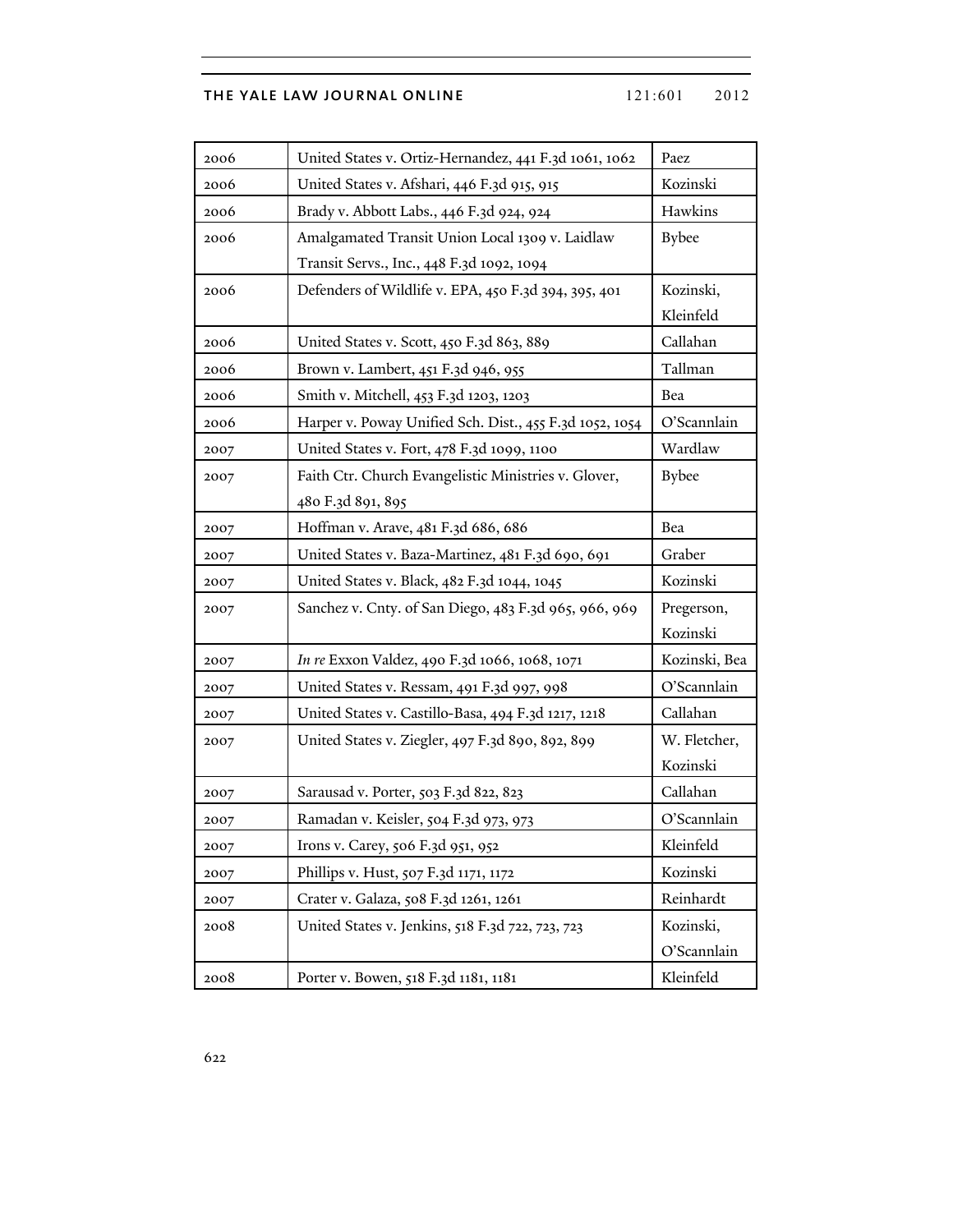| 2006 | United States v. Ortiz-Hernandez, 441 F.3d 1061, 1062   | Paez          |
|------|---------------------------------------------------------|---------------|
| 2006 | United States v. Afshari, 446 F.3d 915, 915             | Kozinski      |
| 2006 | Brady v. Abbott Labs., 446 F.3d 924, 924                | Hawkins       |
| 2006 | Amalgamated Transit Union Local 1309 v. Laidlaw         | <b>Bybee</b>  |
|      | Transit Servs., Inc., 448 F.3d 1092, 1094               |               |
| 2006 | Defenders of Wildlife v. EPA, 450 F.3d 394, 395, 401    | Kozinski,     |
|      |                                                         | Kleinfeld     |
| 2006 | United States v. Scott, 450 F.3d 863, 889               | Callahan      |
| 2006 | Brown v. Lambert, 451 F.3d 946, 955                     | Tallman       |
| 2006 | Smith v. Mitchell, 453 F.3d 1203, 1203                  | Bea           |
| 2006 | Harper v. Poway Unified Sch. Dist., 455 F.3d 1052, 1054 | O'Scannlain   |
| 2007 | United States v. Fort, 478 F.3d 1099, 1100              | Wardlaw       |
| 2007 | Faith Ctr. Church Evangelistic Ministries v. Glover,    | <b>Bybee</b>  |
|      | 480 F.3d 891, 895                                       |               |
| 2007 | Hoffman v. Arave, 481 F.3d 686, 686                     | Bea           |
| 2007 | United States v. Baza-Martinez, 481 F.3d 690, 691       | Graber        |
| 2007 | United States v. Black, 482 F.3d 1044, 1045             | Kozinski      |
| 2007 | Sanchez v. Cnty. of San Diego, 483 F.3d 965, 966, 969   | Pregerson,    |
|      |                                                         | Kozinski      |
| 2007 | In re Exxon Valdez, 490 F.3d 1066, 1068, 1071           | Kozinski, Bea |
| 2007 | United States v. Ressam, 491 F.3d 997, 998              | O'Scannlain   |
| 2007 | United States v. Castillo-Basa, 494 F.3d 1217, 1218     | Callahan      |
| 2007 | United States v. Ziegler, 497 F.3d 890, 892, 899        | W. Fletcher,  |
|      |                                                         | Kozinski      |
| 2007 | Sarausad v. Porter, 503 F.3d 822, 823                   | Callahan      |
| 2007 | Ramadan v. Keisler, 504 F.3d 973, 973                   | O'Scannlain   |
| 2007 | Irons v. Carey, 506 F.3d 951, 952                       | Kleinfeld     |
| 2007 | Phillips v. Hust, 507 F.3d 1171, 1172                   | Kozinski      |
| 2007 | Crater v. Galaza, 508 F.3d 1261, 1261                   | Reinhardt     |
| 2008 | United States v. Jenkins, 518 F.3d 722, 723, 723        | Kozinski,     |
|      |                                                         | O'Scannlain   |
| 2008 | Porter v. Bowen, 518 F.3d 1181, 1181                    | Kleinfeld     |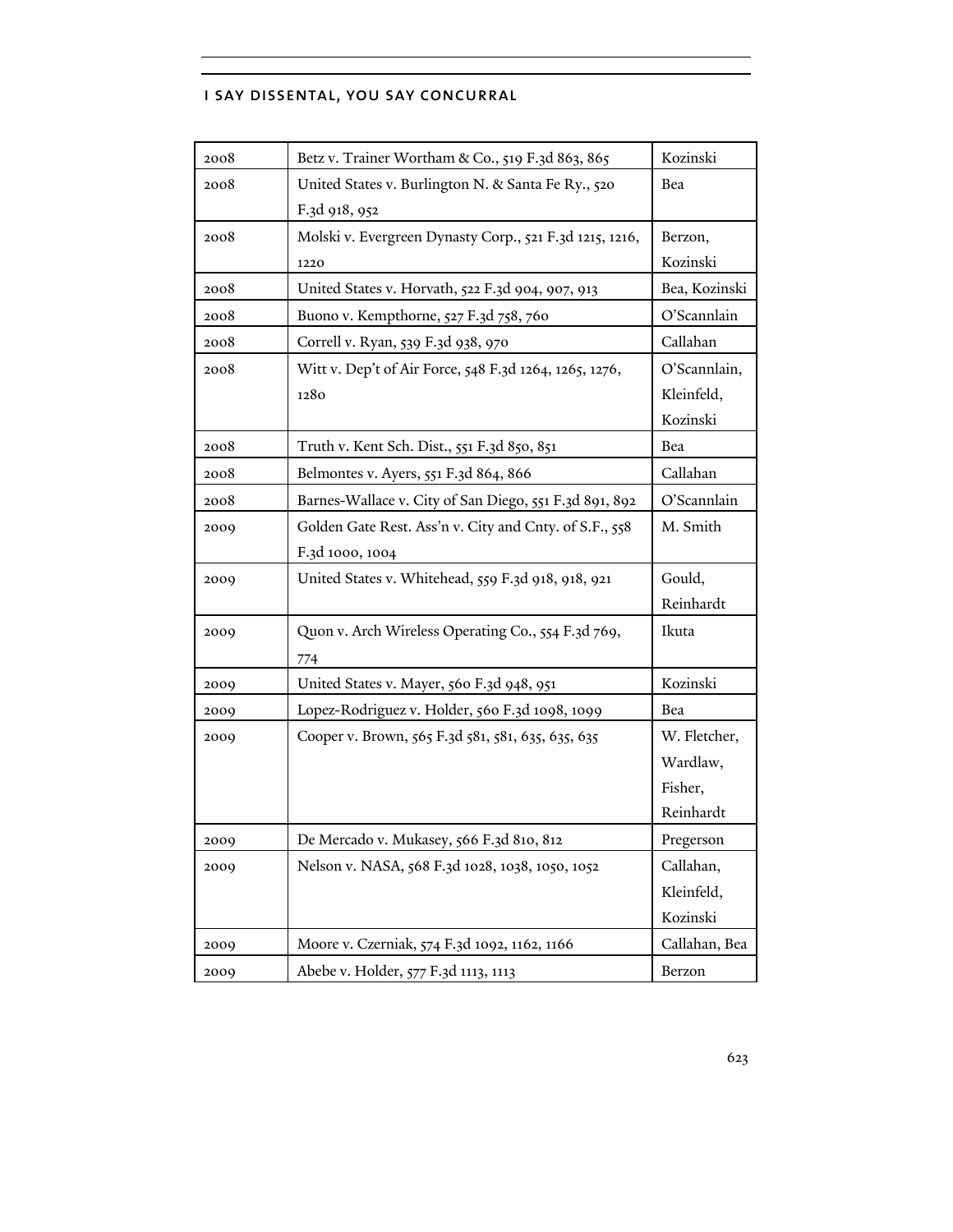| 2008 | Betz v. Trainer Wortham & Co., 519 F.3d 863, 865        | Kozinski      |
|------|---------------------------------------------------------|---------------|
| 2008 | United States v. Burlington N. & Santa Fe Ry., 520      | Bea           |
|      | F.3d 918, 952                                           |               |
| 2008 | Molski v. Evergreen Dynasty Corp., 521 F.3d 1215, 1216, | Berzon,       |
|      | 1220                                                    | Kozinski      |
| 2008 | United States v. Horvath, 522 F.3d 904, 907, 913        | Bea, Kozinski |
| 2008 | Buono v. Kempthorne, 527 F.3d 758, 760                  | O'Scannlain   |
| 2008 | Correll v. Ryan, 539 F.3d 938, 970                      | Callahan      |
| 2008 | Witt v. Dep't of Air Force, 548 F.3d 1264, 1265, 1276,  | O'Scannlain,  |
|      | 1280                                                    | Kleinfeld,    |
|      |                                                         | Kozinski      |
| 2008 | Truth v. Kent Sch. Dist., 551 F.3d 850, 851             | Bea           |
| 2008 | Belmontes v. Ayers, 551 F.3d 864, 866                   | Callahan      |
| 2008 | Barnes-Wallace v. City of San Diego, 551 F.3d 891, 892  | O'Scannlain   |
| 2009 | Golden Gate Rest. Ass'n v. City and Cnty. of S.F., 558  | M. Smith      |
|      | F.3d 1000, 1004                                         |               |
| 2009 | United States v. Whitehead, 559 F.3d 918, 918, 921      | Gould,        |
|      |                                                         | Reinhardt     |
| 2009 | Quon v. Arch Wireless Operating Co., 554 F.3d 769,      | Ikuta         |
|      | 774                                                     |               |
| 2009 | United States v. Mayer, 560 F.3d 948, 951               | Kozinski      |
| 2009 | Lopez-Rodriguez v. Holder, 560 F.3d 1098, 1099          | Bea           |
| 2009 | Cooper v. Brown, 565 F.3d 581, 581, 635, 635, 635       | W. Fletcher,  |
|      |                                                         | Wardlaw,      |
|      |                                                         | Fisher,       |
|      |                                                         | Reinhardt     |
| 2009 | De Mercado v. Mukasey, 566 F.3d 810, 812                | Pregerson     |
| 2009 | Nelson v. NASA, 568 F.3d 1028, 1038, 1050, 1052         | Callahan,     |
|      |                                                         | Kleinfeld,    |
|      |                                                         | Kozinski      |
| 2009 | Moore v. Czerniak, 574 F.3d 1092, 1162, 1166            | Callahan, Bea |
| 2009 | Abebe v. Holder, 577 F.3d 1113, 1113                    | Berzon        |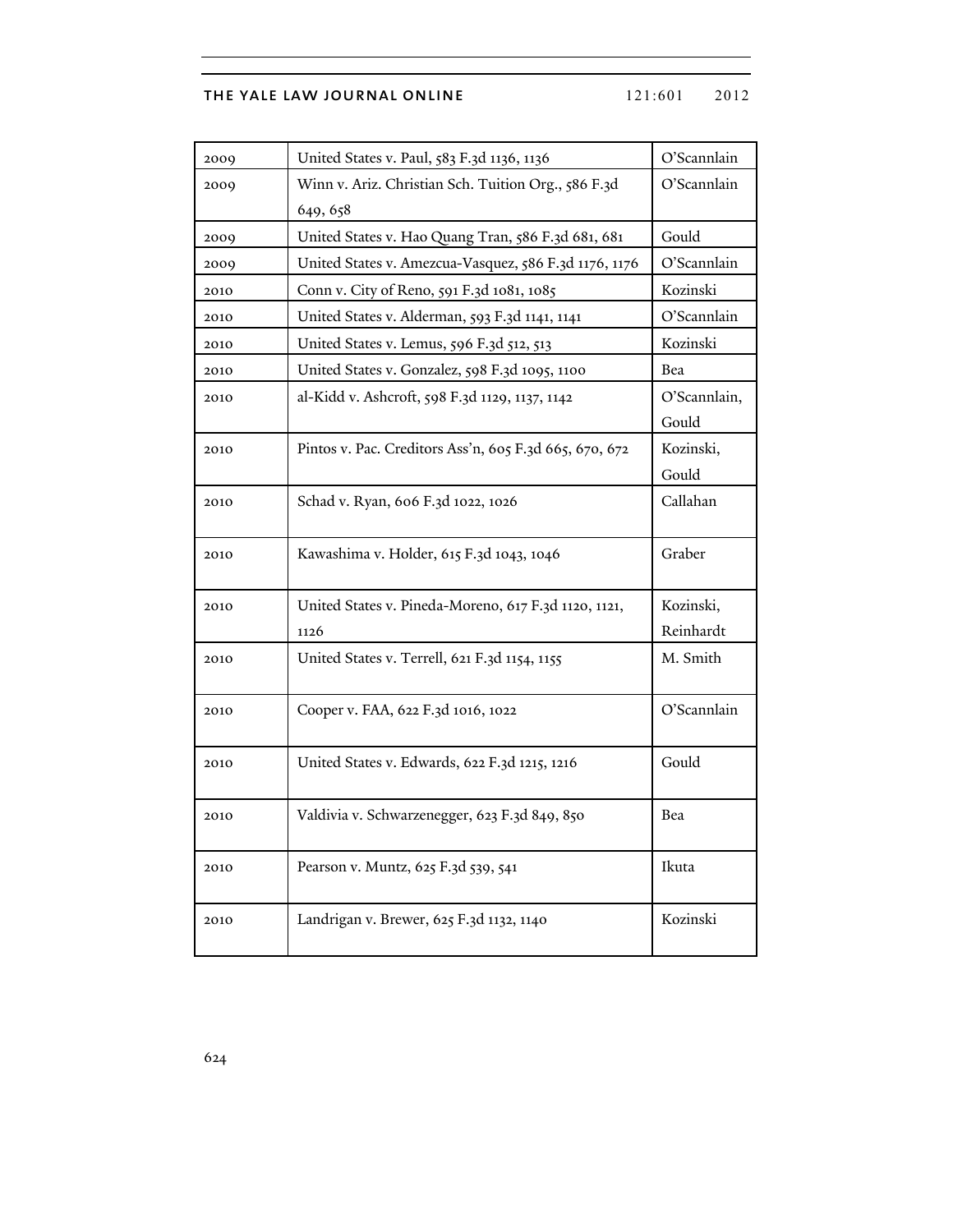| 2009 | United States v. Paul, 583 F.3d 1136, 1136             | O'Scannlain  |  |
|------|--------------------------------------------------------|--------------|--|
| 2009 | Winn v. Ariz. Christian Sch. Tuition Org., 586 F.3d    | O'Scannlain  |  |
|      | 649, 658                                               |              |  |
| 2009 | United States v. Hao Quang Tran, 586 F.3d 681, 681     | Gould        |  |
| 2009 | United States v. Amezcua-Vasquez, 586 F.3d 1176, 1176  | O'Scannlain  |  |
| 2010 | Conn v. City of Reno, 591 F.3d 1081, 1085              | Kozinski     |  |
| 2010 | United States v. Alderman, 593 F.3d 1141, 1141         | O'Scannlain  |  |
| 2010 | Kozinski<br>United States v. Lemus, 596 F.3d 512, 513  |              |  |
| 2010 | United States v. Gonzalez, 598 F.3d 1095, 1100<br>Bea  |              |  |
| 2010 | al-Kidd v. Ashcroft, 598 F.3d 1129, 1137, 1142         | O'Scannlain, |  |
|      |                                                        | Gould        |  |
| 2010 | Pintos v. Pac. Creditors Ass'n, 605 F.3d 665, 670, 672 | Kozinski,    |  |
|      |                                                        | Gould        |  |
| 2010 | Schad v. Ryan, 606 F.3d 1022, 1026                     | Callahan     |  |
|      |                                                        |              |  |
| 2010 | Kawashima v. Holder, 615 F.3d 1043, 1046               | Graber       |  |
|      |                                                        |              |  |
| 2010 | United States v. Pineda-Moreno, 617 F.3d 1120, 1121,   | Kozinski,    |  |
|      | 1126                                                   | Reinhardt    |  |
| 2010 | United States v. Terrell, 621 F.3d 1154, 1155          | M. Smith     |  |
|      |                                                        |              |  |
| 2010 | Cooper v. FAA, 622 F.3d 1016, 1022                     | O'Scannlain  |  |
|      |                                                        |              |  |
| 2010 | United States v. Edwards, 622 F.3d 1215, 1216          | Gould        |  |
|      |                                                        |              |  |
| 2010 | Valdivia v. Schwarzenegger, 623 F.3d 849, 850          | Bea          |  |
|      |                                                        |              |  |
| 2010 | Pearson v. Muntz, 625 F.3d 539, 541                    | Ikuta        |  |
|      |                                                        |              |  |
| 2010 | Landrigan v. Brewer, 625 F.3d 1132, 1140               | Kozinski     |  |
|      |                                                        |              |  |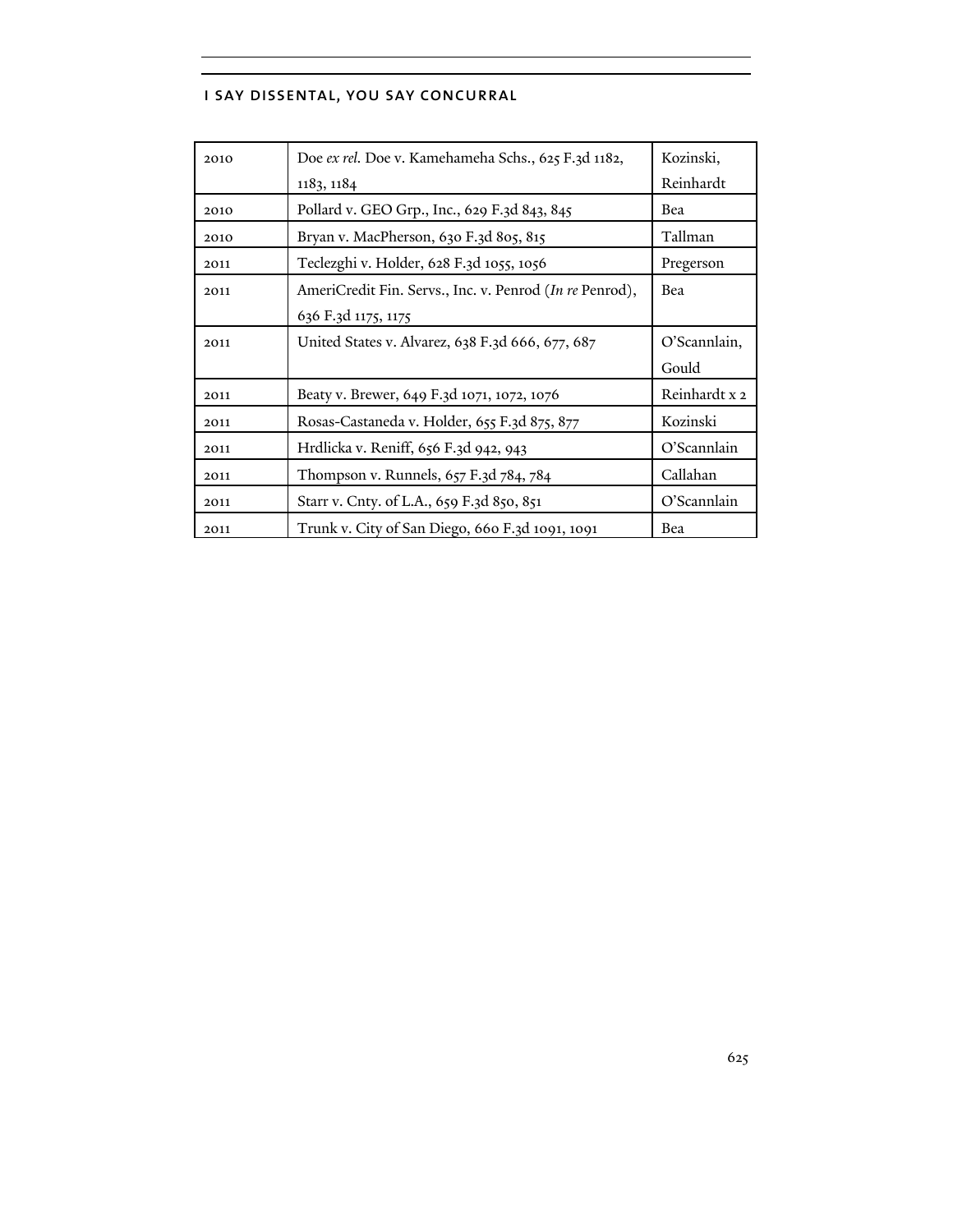| 2010 | Doe ex rel. Doe v. Kamehameha Schs., 625 F.3d 1182,      | Kozinski,     |  |
|------|----------------------------------------------------------|---------------|--|
|      | 1183, 1184                                               | Reinhardt     |  |
| 2010 | Pollard v. GEO Grp., Inc., 629 F.3d 843, 845<br>Bea      |               |  |
| 2010 | Bryan v. MacPherson, 630 F.3d 805, 815<br>Tallman        |               |  |
| 2011 | Teclezghi v. Holder, 628 F.3d 1055, 1056<br>Pregerson    |               |  |
| 2011 | AmeriCredit Fin. Servs., Inc. v. Penrod (In re Penrod),  | Bea           |  |
|      | 636 F.3d 1175, 1175                                      |               |  |
| 2011 | United States v. Alvarez, 638 F.3d 666, 677, 687         | O'Scannlain,  |  |
|      |                                                          | Gould         |  |
| 2011 | Beaty v. Brewer, 649 F.3d 1071, 1072, 1076               | Reinhardt x 2 |  |
| 2011 | Rosas-Castaneda v. Holder, 655 F.3d 875, 877             | Kozinski      |  |
| 2011 | Hrdlicka v. Reniff, 656 F.3d 942, 943                    | O'Scannlain   |  |
| 2011 | Thompson v. Runnels, 657 F.3d 784, 784                   | Callahan      |  |
| 2011 | O'Scannlain<br>Starr v. Cnty. of L.A., 659 F.3d 850, 851 |               |  |
| 2011 | Trunk v. City of San Diego, 660 F.3d 1091, 1091          | Bea           |  |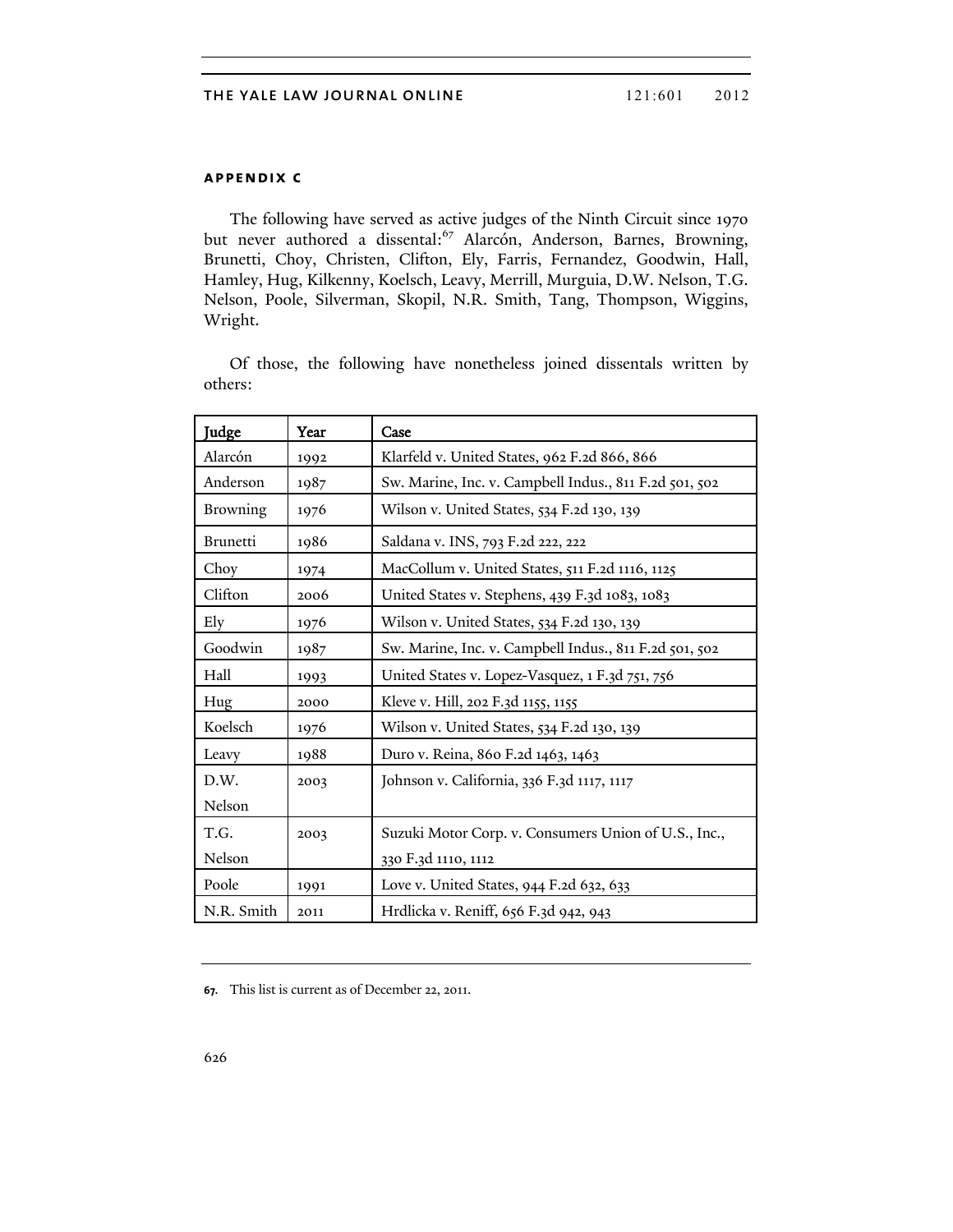#### **appendix c**

The following have served as active judges of the Ninth Circuit since 1970 but never authored a dissental:<sup>67</sup> Alarcón, Anderson, Barnes, Browning, Brunetti, Choy, Christen, Clifton, Ely, Farris, Fernandez, Goodwin, Hall, Hamley, Hug, Kilkenny, Koelsch, Leavy, Merrill, Murguia, D.W. Nelson, T.G. Nelson, Poole, Silverman, Skopil, N.R. Smith, Tang, Thompson, Wiggins, Wright.

Of those, the following have nonetheless joined dissentals written by others:

| Judge      | Year | Case                                                   |
|------------|------|--------------------------------------------------------|
| Alarcón    | 1992 | Klarfeld v. United States, 962 F.2d 866, 866           |
| Anderson   | 1987 | Sw. Marine, Inc. v. Campbell Indus., 811 F.2d 501, 502 |
| Browning   | 1976 | Wilson v. United States, 534 F.2d 130, 139             |
| Brunetti   | 1986 | Saldana v. INS, 793 F.2d 222, 222                      |
| Choy       | 1974 | MacCollum v. United States, 511 F.2d 1116, 1125        |
| Clifton    | 2006 | United States v. Stephens, 439 F.3d 1083, 1083         |
| Ely        | 1976 | Wilson v. United States, 534 F.2d 130, 139             |
| Goodwin    | 1987 | Sw. Marine, Inc. v. Campbell Indus., 811 F.2d 501, 502 |
| Hall       | 1993 | United States v. Lopez-Vasquez, 1 F.3d 751, 756        |
| Hug        | 2000 | Kleve v. Hill, 202 F.3d 1155, 1155                     |
| Koelsch    | 1976 | Wilson v. United States, 534 F.2d 130, 139             |
| Leavy      | 1988 | Duro v. Reina, 860 F.2d 1463, 1463                     |
| D.W.       | 2003 | Johnson v. California, 336 F.3d 1117, 1117             |
| Nelson     |      |                                                        |
| T.G.       | 2003 | Suzuki Motor Corp. v. Consumers Union of U.S., Inc.,   |
| Nelson     |      | 330 F.3d 1110, 1112                                    |
| Poole      | 1991 | Love v. United States, 944 F.2d 632, 633               |
| N.R. Smith | 2011 | Hrdlicka v. Reniff, 656 F.3d 942, 943                  |

**67.** This list is current as of December 22, 2011.